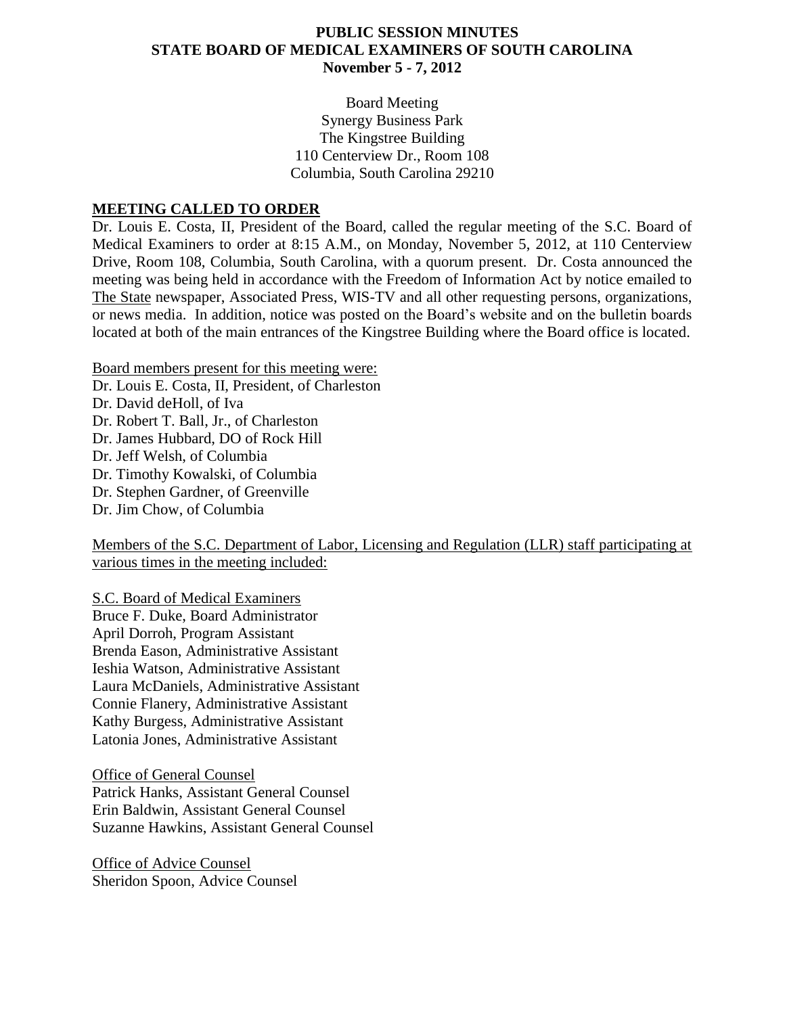#### **PUBLIC SESSION MINUTES STATE BOARD OF MEDICAL EXAMINERS OF SOUTH CAROLINA November 5 - 7, 2012**

Board Meeting Synergy Business Park The Kingstree Building 110 Centerview Dr., Room 108 Columbia, South Carolina 29210

#### **MEETING CALLED TO ORDER**

Dr. Louis E. Costa, II, President of the Board, called the regular meeting of the S.C. Board of Medical Examiners to order at 8:15 A.M., on Monday, November 5, 2012, at 110 Centerview Drive, Room 108, Columbia, South Carolina, with a quorum present. Dr. Costa announced the meeting was being held in accordance with the Freedom of Information Act by notice emailed to The State newspaper, Associated Press, WIS-TV and all other requesting persons, organizations, or news media. In addition, notice was posted on the Board's website and on the bulletin boards located at both of the main entrances of the Kingstree Building where the Board office is located.

Board members present for this meeting were:

Dr. Louis E. Costa, II, President, of Charleston

Dr. David deHoll, of Iva Dr. Robert T. Ball, Jr., of Charleston Dr. James Hubbard, DO of Rock Hill Dr. Jeff Welsh, of Columbia Dr. Timothy Kowalski, of Columbia Dr. Stephen Gardner, of Greenville Dr. Jim Chow, of Columbia

Members of the S.C. Department of Labor, Licensing and Regulation (LLR) staff participating at various times in the meeting included:

S.C. Board of Medical Examiners Bruce F. Duke, Board Administrator April Dorroh, Program Assistant Brenda Eason, Administrative Assistant Ieshia Watson, Administrative Assistant Laura McDaniels, Administrative Assistant Connie Flanery, Administrative Assistant Kathy Burgess, Administrative Assistant Latonia Jones, Administrative Assistant

Office of General Counsel Patrick Hanks, Assistant General Counsel Erin Baldwin, Assistant General Counsel Suzanne Hawkins, Assistant General Counsel

Office of Advice Counsel Sheridon Spoon, Advice Counsel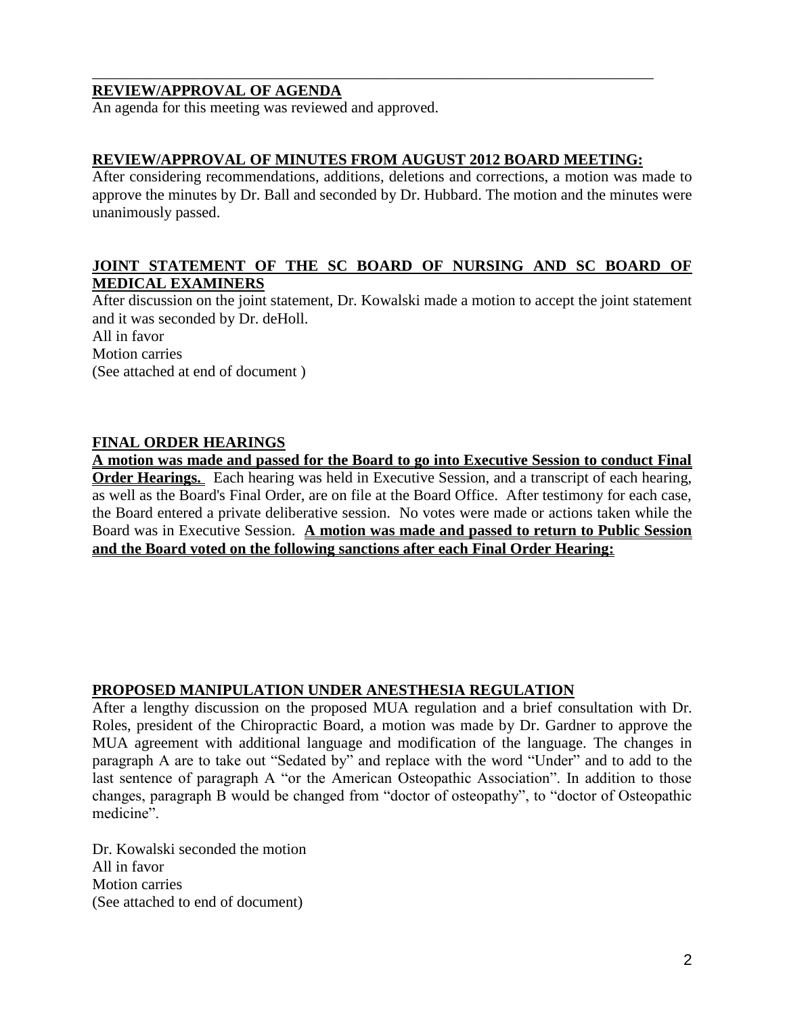#### **REVIEW/APPROVAL OF AGENDA**

An agenda for this meeting was reviewed and approved.

#### **REVIEW/APPROVAL OF MINUTES FROM AUGUST 2012 BOARD MEETING:**

\_\_\_\_\_\_\_\_\_\_\_\_\_\_\_\_\_\_\_\_\_\_\_\_\_\_\_\_\_\_\_\_\_\_\_\_\_\_\_\_\_\_\_\_\_\_\_\_\_\_\_\_\_\_\_\_\_\_\_\_\_\_\_\_\_\_\_\_\_\_\_\_\_

After considering recommendations, additions, deletions and corrections, a motion was made to approve the minutes by Dr. Ball and seconded by Dr. Hubbard. The motion and the minutes were unanimously passed.

#### **JOINT STATEMENT OF THE SC BOARD OF NURSING AND SC BOARD OF MEDICAL EXAMINERS**

After discussion on the joint statement, Dr. Kowalski made a motion to accept the joint statement and it was seconded by Dr. deHoll. All in favor Motion carries (See attached at end of document )

#### **FINAL ORDER HEARINGS**

**A motion was made and passed for the Board to go into Executive Session to conduct Final Order Hearings.** Each hearing was held in Executive Session, and a transcript of each hearing, as well as the Board's Final Order, are on file at the Board Office. After testimony for each case, the Board entered a private deliberative session. No votes were made or actions taken while the Board was in Executive Session. **A motion was made and passed to return to Public Session and the Board voted on the following sanctions after each Final Order Hearing:**

#### **PROPOSED MANIPULATION UNDER ANESTHESIA REGULATION**

After a lengthy discussion on the proposed MUA regulation and a brief consultation with Dr. Roles, president of the Chiropractic Board, a motion was made by Dr. Gardner to approve the MUA agreement with additional language and modification of the language. The changes in paragraph A are to take out "Sedated by" and replace with the word "Under" and to add to the last sentence of paragraph A "or the American Osteopathic Association". In addition to those changes, paragraph B would be changed from "doctor of osteopathy", to "doctor of Osteopathic medicine".

Dr. Kowalski seconded the motion All in favor Motion carries (See attached to end of document)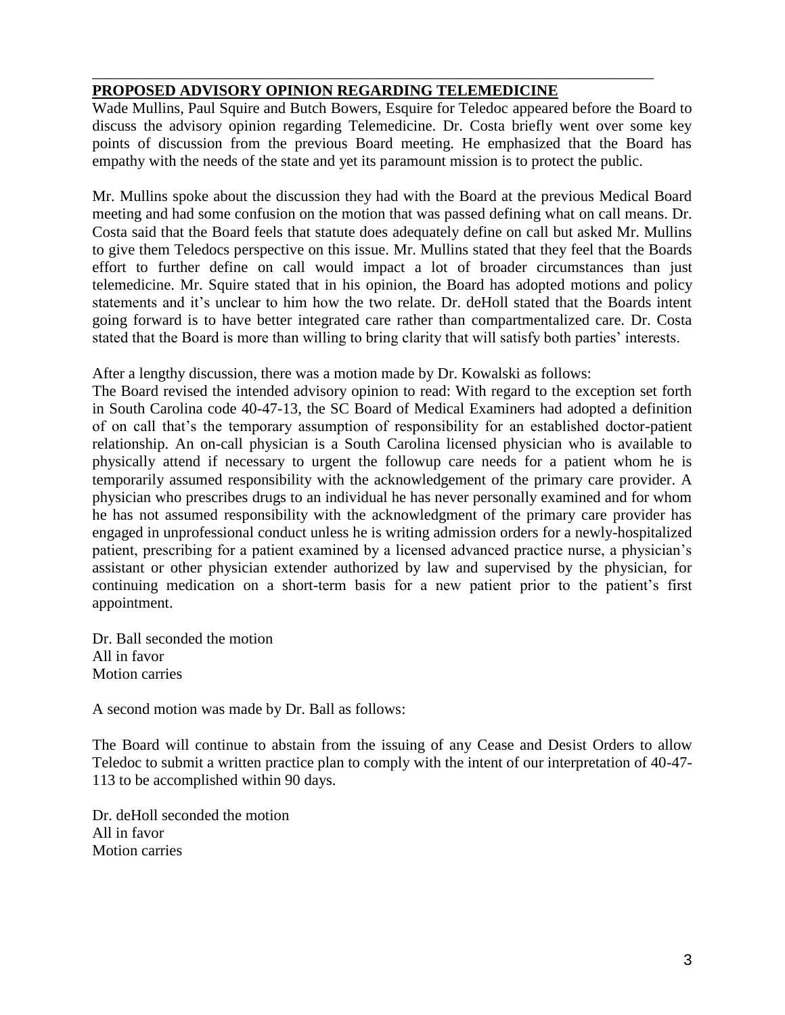# **PROPOSED ADVISORY OPINION REGARDING TELEMEDICINE**

Wade Mullins, Paul Squire and Butch Bowers, Esquire for Teledoc appeared before the Board to discuss the advisory opinion regarding Telemedicine. Dr. Costa briefly went over some key points of discussion from the previous Board meeting. He emphasized that the Board has empathy with the needs of the state and yet its paramount mission is to protect the public.

\_\_\_\_\_\_\_\_\_\_\_\_\_\_\_\_\_\_\_\_\_\_\_\_\_\_\_\_\_\_\_\_\_\_\_\_\_\_\_\_\_\_\_\_\_\_\_\_\_\_\_\_\_\_\_\_\_\_\_\_\_\_\_\_\_\_\_\_\_\_\_\_\_

Mr. Mullins spoke about the discussion they had with the Board at the previous Medical Board meeting and had some confusion on the motion that was passed defining what on call means. Dr. Costa said that the Board feels that statute does adequately define on call but asked Mr. Mullins to give them Teledocs perspective on this issue. Mr. Mullins stated that they feel that the Boards effort to further define on call would impact a lot of broader circumstances than just telemedicine. Mr. Squire stated that in his opinion, the Board has adopted motions and policy statements and it's unclear to him how the two relate. Dr. deHoll stated that the Boards intent going forward is to have better integrated care rather than compartmentalized care. Dr. Costa stated that the Board is more than willing to bring clarity that will satisfy both parties' interests.

After a lengthy discussion, there was a motion made by Dr. Kowalski as follows:

The Board revised the intended advisory opinion to read: With regard to the exception set forth in South Carolina code 40-47-13, the SC Board of Medical Examiners had adopted a definition of on call that's the temporary assumption of responsibility for an established doctor-patient relationship. An on-call physician is a South Carolina licensed physician who is available to physically attend if necessary to urgent the followup care needs for a patient whom he is temporarily assumed responsibility with the acknowledgement of the primary care provider. A physician who prescribes drugs to an individual he has never personally examined and for whom he has not assumed responsibility with the acknowledgment of the primary care provider has engaged in unprofessional conduct unless he is writing admission orders for a newly-hospitalized patient, prescribing for a patient examined by a licensed advanced practice nurse, a physician's assistant or other physician extender authorized by law and supervised by the physician, for continuing medication on a short-term basis for a new patient prior to the patient's first appointment.

Dr. Ball seconded the motion All in favor Motion carries

A second motion was made by Dr. Ball as follows:

The Board will continue to abstain from the issuing of any Cease and Desist Orders to allow Teledoc to submit a written practice plan to comply with the intent of our interpretation of 40-47- 113 to be accomplished within 90 days.

Dr. deHoll seconded the motion All in favor Motion carries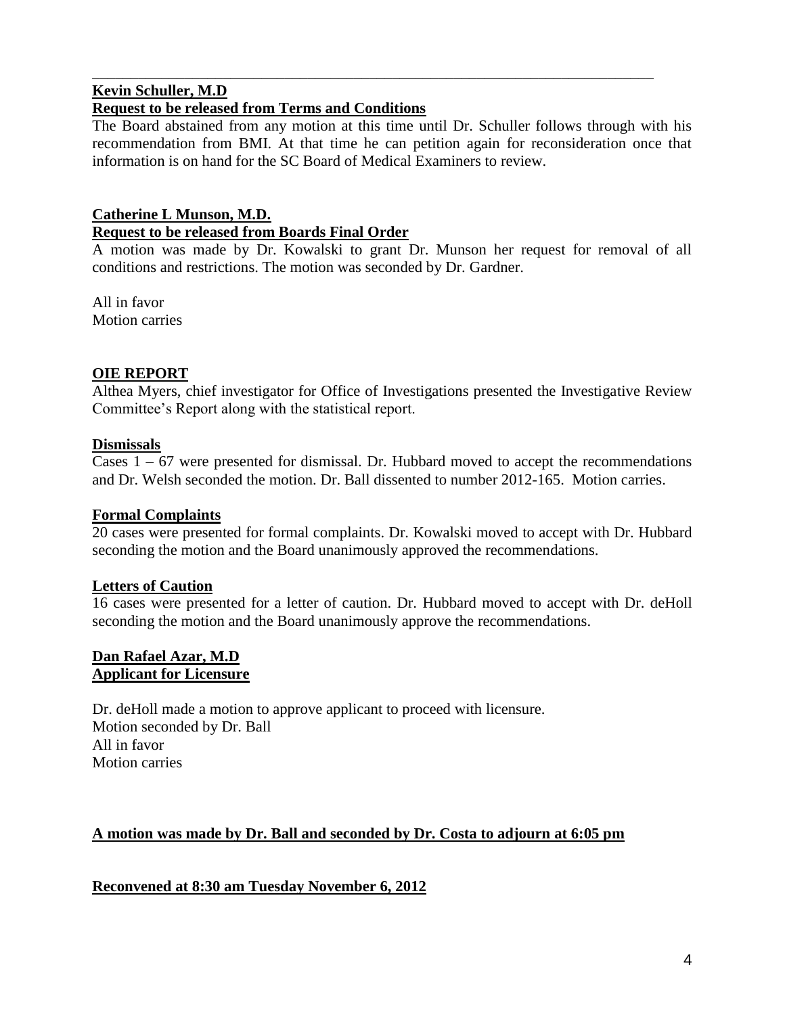#### **Kevin Schuller, M.D Request to be released from Terms and Conditions**

The Board abstained from any motion at this time until Dr. Schuller follows through with his recommendation from BMI. At that time he can petition again for reconsideration once that information is on hand for the SC Board of Medical Examiners to review.

\_\_\_\_\_\_\_\_\_\_\_\_\_\_\_\_\_\_\_\_\_\_\_\_\_\_\_\_\_\_\_\_\_\_\_\_\_\_\_\_\_\_\_\_\_\_\_\_\_\_\_\_\_\_\_\_\_\_\_\_\_\_\_\_\_\_\_\_\_\_\_\_\_

### **Catherine L Munson, M.D. Request to be released from Boards Final Order**

A motion was made by Dr. Kowalski to grant Dr. Munson her request for removal of all conditions and restrictions. The motion was seconded by Dr. Gardner.

All in favor Motion carries

# **OIE REPORT**

Althea Myers, chief investigator for Office of Investigations presented the Investigative Review Committee's Report along with the statistical report.

### **Dismissals**

Cases  $1 - 67$  were presented for dismissal. Dr. Hubbard moved to accept the recommendations and Dr. Welsh seconded the motion. Dr. Ball dissented to number 2012-165. Motion carries.

#### **Formal Complaints**

20 cases were presented for formal complaints. Dr. Kowalski moved to accept with Dr. Hubbard seconding the motion and the Board unanimously approved the recommendations.

### **Letters of Caution**

16 cases were presented for a letter of caution. Dr. Hubbard moved to accept with Dr. deHoll seconding the motion and the Board unanimously approve the recommendations.

#### **Dan Rafael Azar, M.D Applicant for Licensure**

Dr. deHoll made a motion to approve applicant to proceed with licensure. Motion seconded by Dr. Ball All in favor Motion carries

### **A motion was made by Dr. Ball and seconded by Dr. Costa to adjourn at 6:05 pm**

**Reconvened at 8:30 am Tuesday November 6, 2012**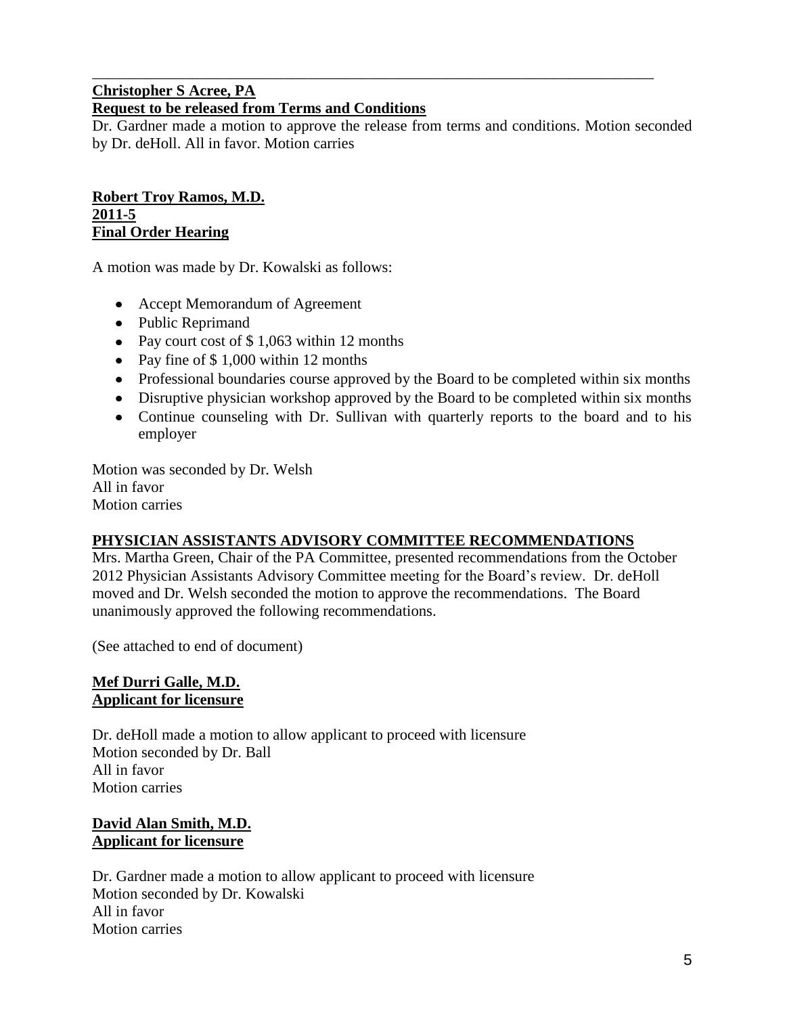### **Christopher S Acree, PA Request to be released from Terms and Conditions**

Dr. Gardner made a motion to approve the release from terms and conditions. Motion seconded by Dr. deHoll. All in favor. Motion carries

\_\_\_\_\_\_\_\_\_\_\_\_\_\_\_\_\_\_\_\_\_\_\_\_\_\_\_\_\_\_\_\_\_\_\_\_\_\_\_\_\_\_\_\_\_\_\_\_\_\_\_\_\_\_\_\_\_\_\_\_\_\_\_\_\_\_\_\_\_\_\_\_\_

#### **Robert Troy Ramos, M.D. 2011-5 Final Order Hearing**

A motion was made by Dr. Kowalski as follows:

- Accept Memorandum of Agreement
- Public Reprimand
- Pay court cost of \$1,063 within 12 months
- Pay fine of \$1,000 within 12 months
- Professional boundaries course approved by the Board to be completed within six months
- Disruptive physician workshop approved by the Board to be completed within six months
- Continue counseling with Dr. Sullivan with quarterly reports to the board and to his employer

Motion was seconded by Dr. Welsh All in favor Motion carries

### **PHYSICIAN ASSISTANTS ADVISORY COMMITTEE RECOMMENDATIONS**

Mrs. Martha Green, Chair of the PA Committee, presented recommendations from the October 2012 Physician Assistants Advisory Committee meeting for the Board's review. Dr. deHoll moved and Dr. Welsh seconded the motion to approve the recommendations. The Board unanimously approved the following recommendations.

(See attached to end of document)

#### **Mef Durri Galle, M.D. Applicant for licensure**

Dr. deHoll made a motion to allow applicant to proceed with licensure Motion seconded by Dr. Ball All in favor Motion carries

### **David Alan Smith, M.D. Applicant for licensure**

Dr. Gardner made a motion to allow applicant to proceed with licensure Motion seconded by Dr. Kowalski All in favor Motion carries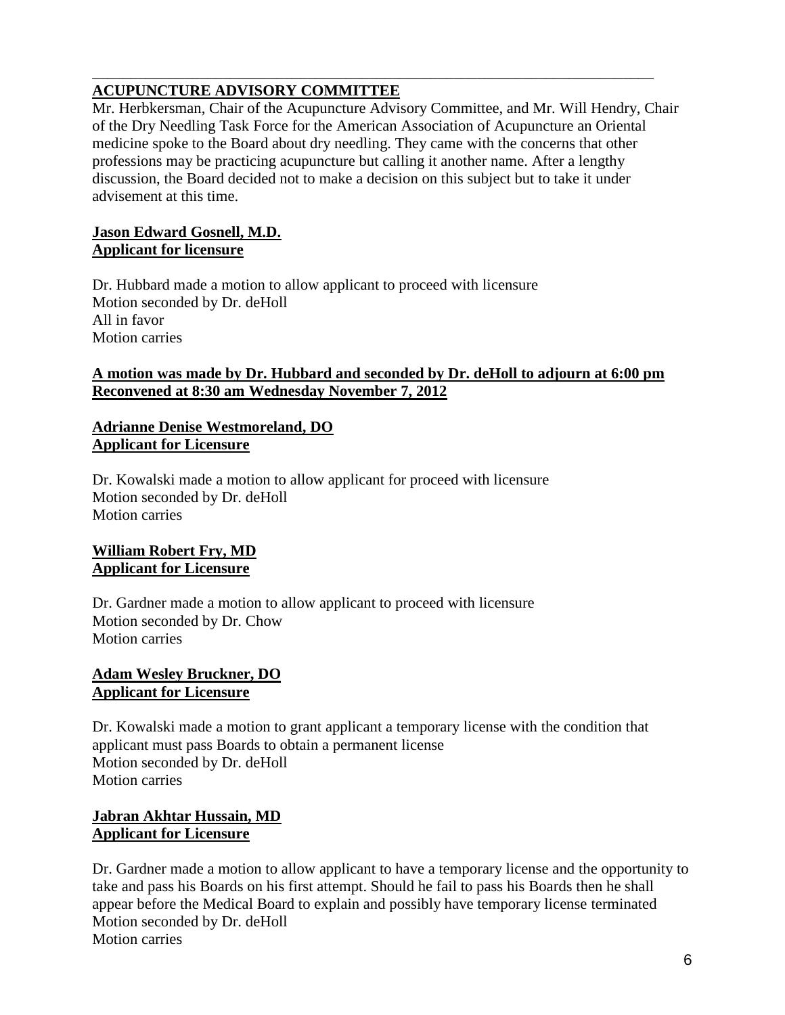# **ACUPUNCTURE ADVISORY COMMITTEE**

Mr. Herbkersman, Chair of the Acupuncture Advisory Committee, and Mr. Will Hendry, Chair of the Dry Needling Task Force for the American Association of Acupuncture an Oriental medicine spoke to the Board about dry needling. They came with the concerns that other professions may be practicing acupuncture but calling it another name. After a lengthy discussion, the Board decided not to make a decision on this subject but to take it under advisement at this time.

\_\_\_\_\_\_\_\_\_\_\_\_\_\_\_\_\_\_\_\_\_\_\_\_\_\_\_\_\_\_\_\_\_\_\_\_\_\_\_\_\_\_\_\_\_\_\_\_\_\_\_\_\_\_\_\_\_\_\_\_\_\_\_\_\_\_\_\_\_\_\_\_\_

#### **Jason Edward Gosnell, M.D. Applicant for licensure**

Dr. Hubbard made a motion to allow applicant to proceed with licensure Motion seconded by Dr. deHoll All in favor Motion carries

#### **A motion was made by Dr. Hubbard and seconded by Dr. deHoll to adjourn at 6:00 pm Reconvened at 8:30 am Wednesday November 7, 2012**

#### **Adrianne Denise Westmoreland, DO Applicant for Licensure**

Dr. Kowalski made a motion to allow applicant for proceed with licensure Motion seconded by Dr. deHoll Motion carries

#### **William Robert Fry, MD Applicant for Licensure**

Dr. Gardner made a motion to allow applicant to proceed with licensure Motion seconded by Dr. Chow Motion carries

#### **Adam Wesley Bruckner, DO Applicant for Licensure**

Dr. Kowalski made a motion to grant applicant a temporary license with the condition that applicant must pass Boards to obtain a permanent license Motion seconded by Dr. deHoll Motion carries

### **Jabran Akhtar Hussain, MD Applicant for Licensure**

Dr. Gardner made a motion to allow applicant to have a temporary license and the opportunity to take and pass his Boards on his first attempt. Should he fail to pass his Boards then he shall appear before the Medical Board to explain and possibly have temporary license terminated Motion seconded by Dr. deHoll Motion carries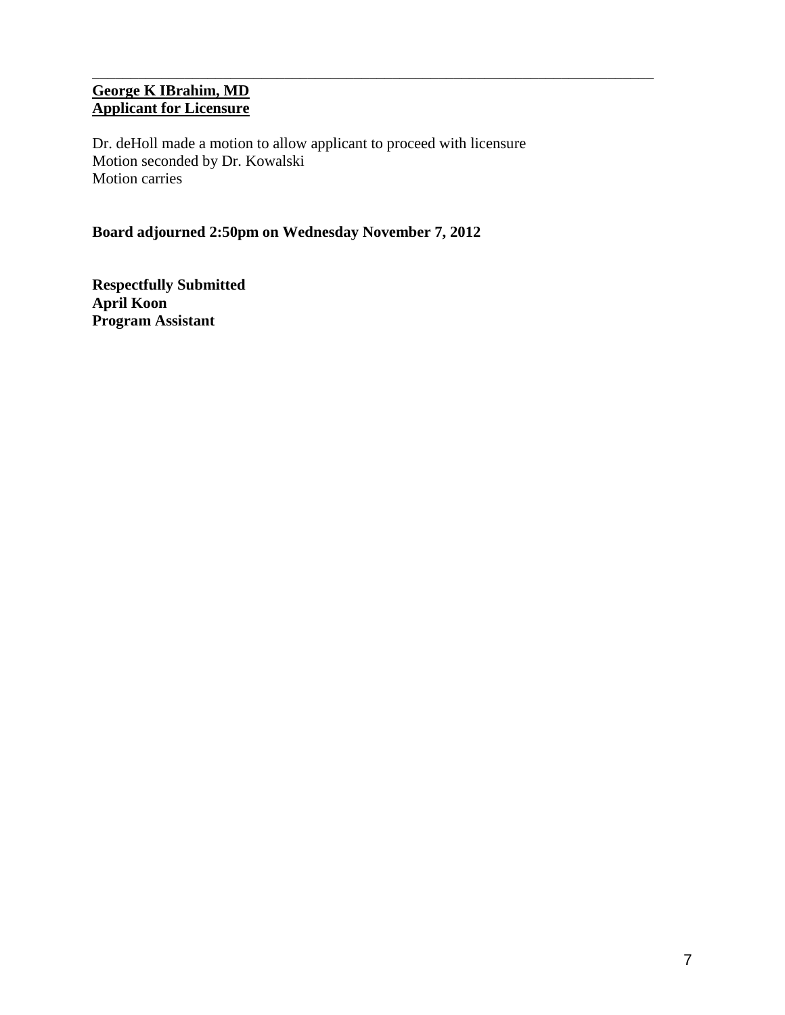# **George K IBrahim, MD Applicant for Licensure**

Dr. deHoll made a motion to allow applicant to proceed with licensure Motion seconded by Dr. Kowalski Motion carries

\_\_\_\_\_\_\_\_\_\_\_\_\_\_\_\_\_\_\_\_\_\_\_\_\_\_\_\_\_\_\_\_\_\_\_\_\_\_\_\_\_\_\_\_\_\_\_\_\_\_\_\_\_\_\_\_\_\_\_\_\_\_\_\_\_\_\_\_\_\_\_\_\_

# **Board adjourned 2:50pm on Wednesday November 7, 2012**

**Respectfully Submitted April Koon Program Assistant**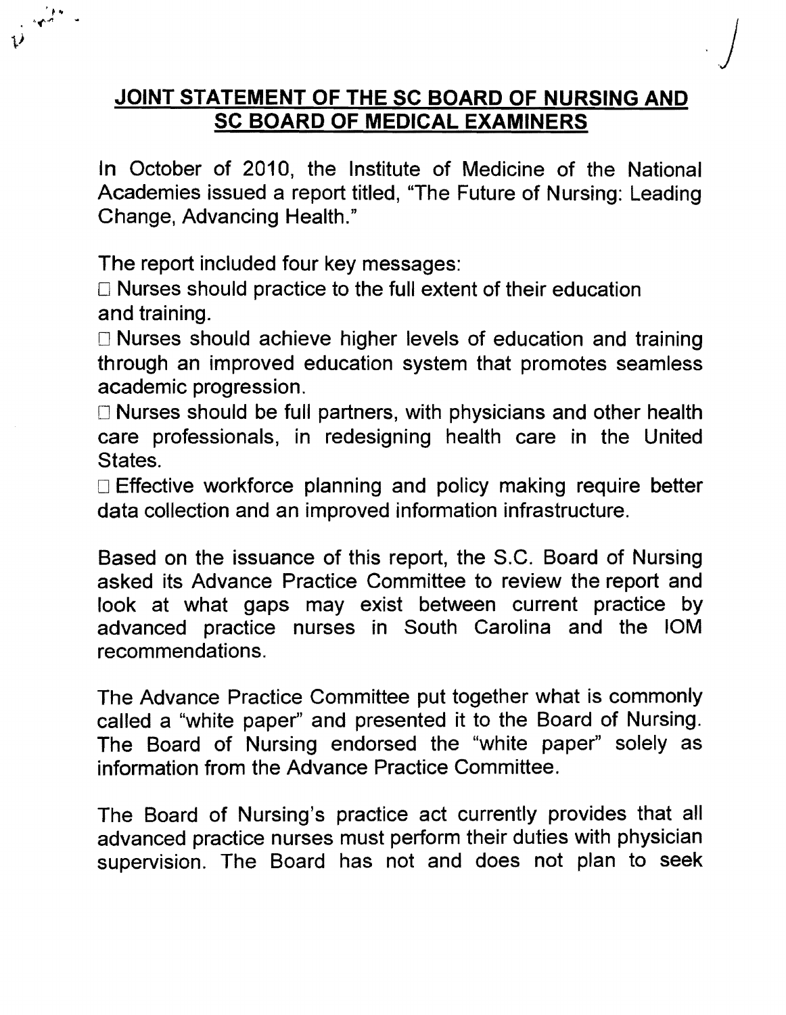# **JOINT STATEMENT OF THE SC BOARD OF NURSING AND SC BOARD OF MEDICAL EXAMINERS**

*.j* 

In October of 2010, the Institute of Medicine of the National Academies issued a report titled, "The Future of Nursing: Leading Change, Advancing Health."

The report included four key messages:

 $\mathcal{L}$ 

 $\Box$  Nurses should practice to the full extent of their education and training.

Nurses should achieve higher levels of education and training through an improved education system that promotes seamless academic progression.

 $\Box$  Nurses should be full partners, with physicians and other health care professionals, in redesigning health care in the United States.

Effective workforce planning and policy making require better data collection and an improved information infrastructure.

Based on the issuance of this report, the S.C. Board of Nursing asked its Advance Practice Committee to review the report and look at what gaps may exist between current practice by advanced practice nurses in South Carolina and the 10M recommendations.

The Advance Practice Committee put together what is commonly called a "white paper" and presented it to the Board of Nursing. The Board of Nursing endorsed the "white paper" solely as information from the Advance Practice Committee.

The Board of Nursing's practice act currently provides that all advanced practice nurses must perform their duties with physician supervision. The Board has not and does not plan to seek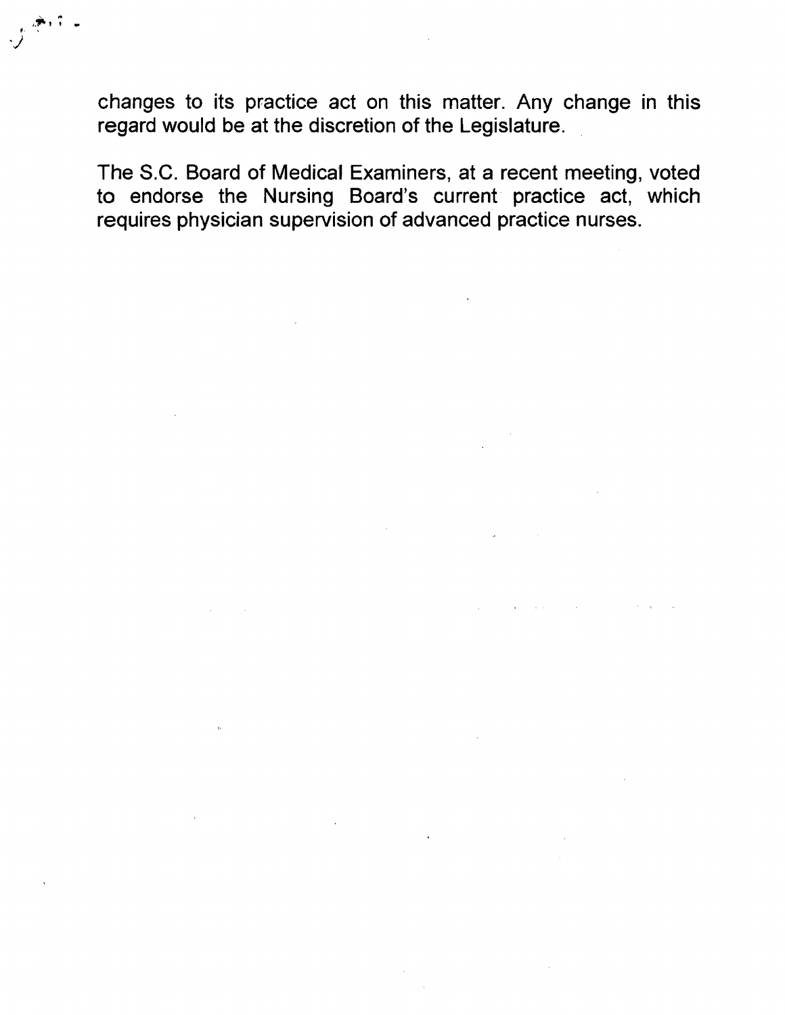changes to its practice act on this matter. Any change in this regard would be at the discretion of the Legislature.

 $j^{+1}$  .

The S.C. Board of Medical Examiners, at a recent meeting, voted to endorse the Nursing Board's current practice act, which requires physician supervision of advanced practice nurses.

 $\mathcal{L}^{\mathcal{A}}$  , where  $\mathcal{L}^{\mathcal{A}}$  is the contract of the contract of the contract of  $\mathcal{L}^{\mathcal{A}}$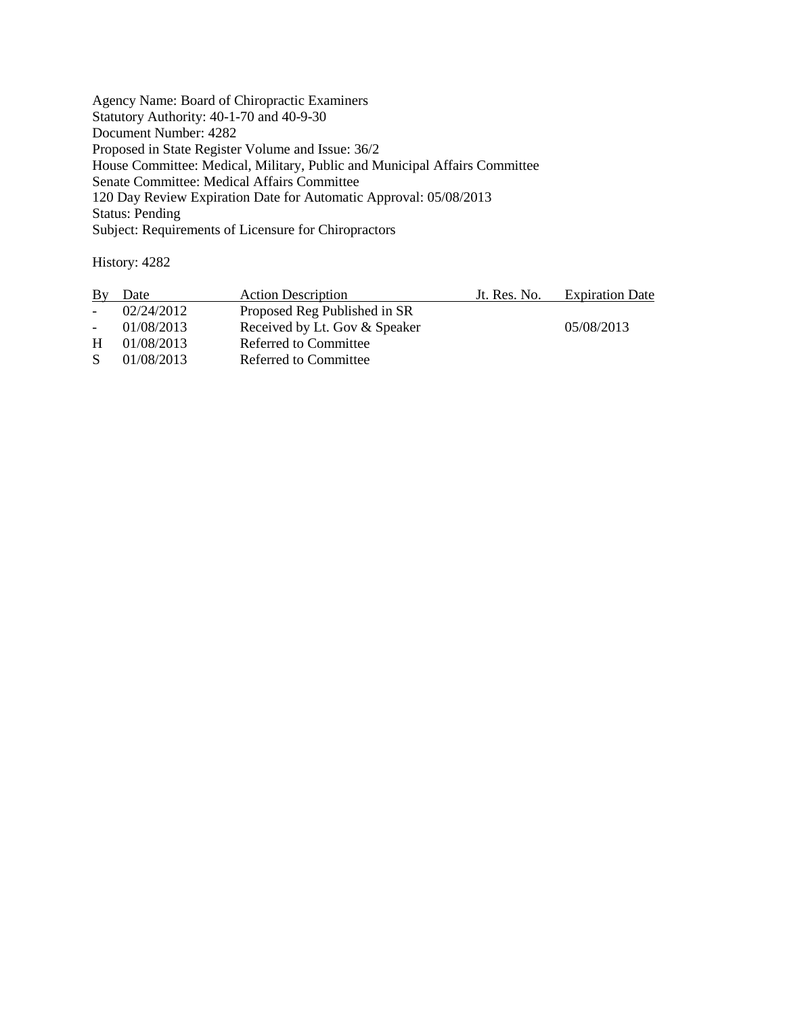Agency Name: Board of Chiropractic Examiners Statutory Authority: 40-1-70 and 40-9-30 Document Number: 4282 Proposed in State Register Volume and Issue: 36/2 House Committee: Medical, Military, Public and Municipal Affairs Committee Senate Committee: Medical Affairs Committee 120 Day Review Expiration Date for Automatic Approval: 05/08/2013 Status: Pending Subject: Requirements of Licensure for Chiropractors

History: 4282

| By              | Date             | <b>Action Description</b>     | Jt. Res. No. | <b>Expiration Date</b> |
|-----------------|------------------|-------------------------------|--------------|------------------------|
| $\sim$ 10 $\pm$ | 02/24/2012       | Proposed Reg Published in SR  |              |                        |
|                 | $-01/08/2013$    | Received by Lt. Gov & Speaker |              | 05/08/2013             |
|                 | $H = 01/08/2013$ | Referred to Committee         |              |                        |
| S.              | 01/08/2013       | Referred to Committee         |              |                        |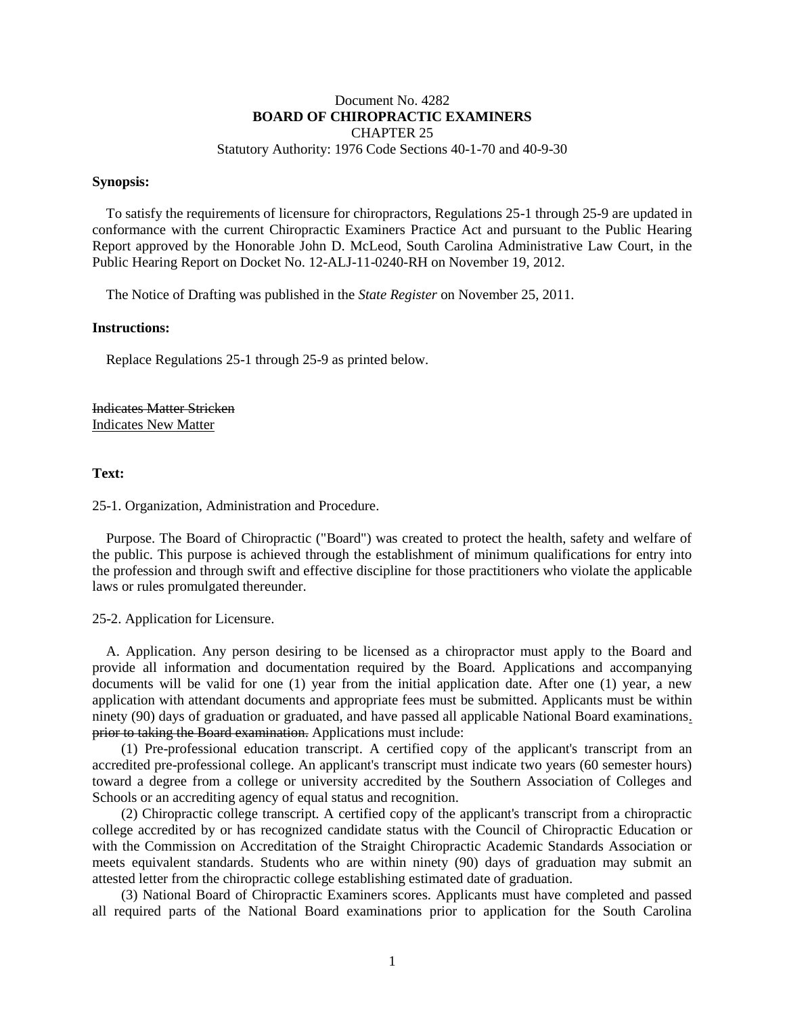#### Document No. 4282 **BOARD OF CHIROPRACTIC EXAMINERS** CHAPTER 25

Statutory Authority: 1976 Code Sections 40-1-70 and 40-9-30

#### **Synopsis:**

To satisfy the requirements of licensure for chiropractors, Regulations 25-1 through 25-9 are updated in conformance with the current Chiropractic Examiners Practice Act and pursuant to the Public Hearing Report approved by the Honorable John D. McLeod, South Carolina Administrative Law Court, in the Public Hearing Report on Docket No. 12-ALJ-11-0240-RH on November 19, 2012.

The Notice of Drafting was published in the *State Register* on November 25, 2011.

#### **Instructions:**

Replace Regulations 25-1 through 25-9 as printed below.

Indicates Matter Stricken Indicates New Matter

#### **Text:**

25-1. Organization, Administration and Procedure.

Purpose. The Board of Chiropractic ("Board") was created to protect the health, safety and welfare of the public. This purpose is achieved through the establishment of minimum qualifications for entry into the profession and through swift and effective discipline for those practitioners who violate the applicable laws or rules promulgated thereunder.

#### 25-2. Application for Licensure.

A. Application. Any person desiring to be licensed as a chiropractor must apply to the Board and provide all information and documentation required by the Board. Applications and accompanying documents will be valid for one (1) year from the initial application date. After one (1) year, a new application with attendant documents and appropriate fees must be submitted. Applicants must be within ninety (90) days of graduation or graduated, and have passed all applicable National Board examinations. prior to taking the Board examination. Applications must include:

(1) Pre-professional education transcript. A certified copy of the applicant's transcript from an accredited pre-professional college. An applicant's transcript must indicate two years (60 semester hours) toward a degree from a college or university accredited by the Southern Association of Colleges and Schools or an accrediting agency of equal status and recognition.

(2) Chiropractic college transcript. A certified copy of the applicant's transcript from a chiropractic college accredited by or has recognized candidate status with the Council of Chiropractic Education or with the Commission on Accreditation of the Straight Chiropractic Academic Standards Association or meets equivalent standards. Students who are within ninety (90) days of graduation may submit an attested letter from the chiropractic college establishing estimated date of graduation.

(3) National Board of Chiropractic Examiners scores. Applicants must have completed and passed all required parts of the National Board examinations prior to application for the South Carolina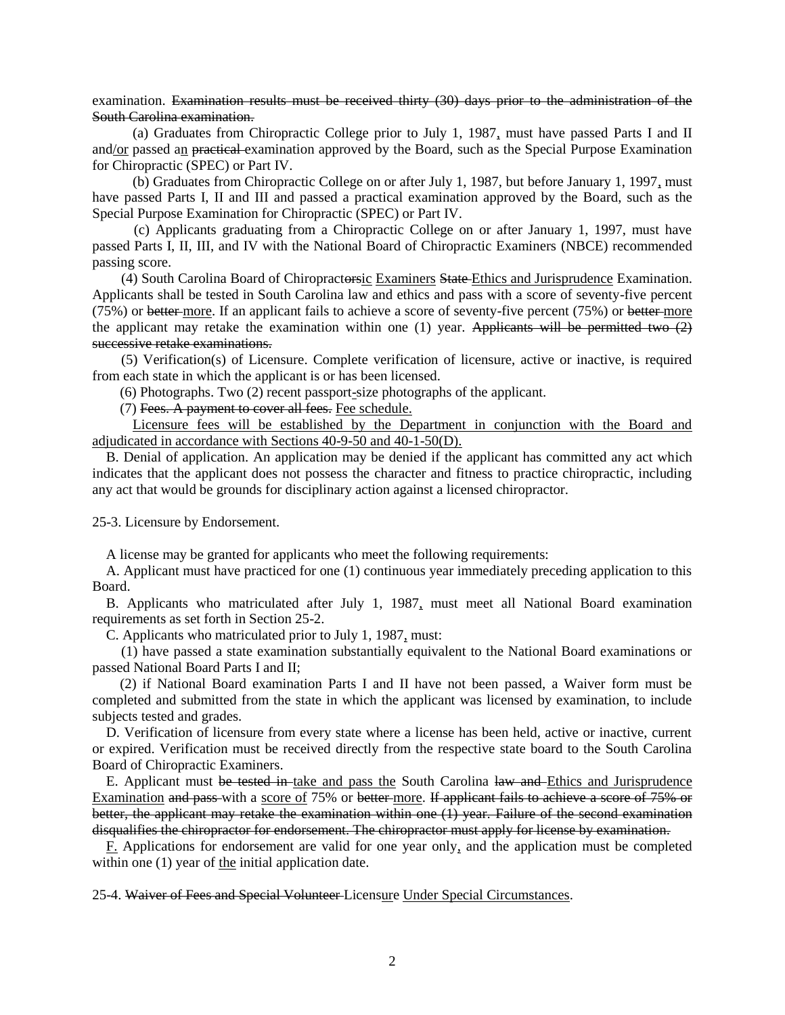examination. Examination results must be received thirty (30) days prior to the administration of the South Carolina examination.

(a) Graduates from Chiropractic College prior to July 1, 1987, must have passed Parts I and II and/or passed an practical examination approved by the Board, such as the Special Purpose Examination for Chiropractic (SPEC) or Part IV.

(b) Graduates from Chiropractic College on or after July 1, 1987, but before January 1, 1997, must have passed Parts I, II and III and passed a practical examination approved by the Board, such as the Special Purpose Examination for Chiropractic (SPEC) or Part IV.

(c) Applicants graduating from a Chiropractic College on or after January 1, 1997, must have passed Parts I, II, III, and IV with the National Board of Chiropractic Examiners (NBCE) recommended passing score.

(4) South Carolina Board of Chiropractorsic Examiners State Ethics and Jurisprudence Examination. Applicants shall be tested in South Carolina law and ethics and pass with a score of seventy-five percent (75%) or better more. If an applicant fails to achieve a score of seventy-five percent (75%) or better more the applicant may retake the examination within one (1) year. Applicants will be permitted two  $(2)$ successive retake examinations.

(5) Verification(s) of Licensure. Complete verification of licensure, active or inactive, is required from each state in which the applicant is or has been licensed.

(6) Photographs. Two (2) recent passport-size photographs of the applicant.

(7) Fees. A payment to cover all fees. Fee schedule.

Licensure fees will be established by the Department in conjunction with the Board and adjudicated in accordance with Sections 40-9-50 and 40-1-50(D).

B. Denial of application. An application may be denied if the applicant has committed any act which indicates that the applicant does not possess the character and fitness to practice chiropractic, including any act that would be grounds for disciplinary action against a licensed chiropractor.

25-3. Licensure by Endorsement.

A license may be granted for applicants who meet the following requirements:

A. Applicant must have practiced for one (1) continuous year immediately preceding application to this Board.

B. Applicants who matriculated after July 1, 1987, must meet all National Board examination requirements as set forth in Section 25-2.

C. Applicants who matriculated prior to July 1, 1987, must:

(1) have passed a state examination substantially equivalent to the National Board examinations or passed National Board Parts I and II;

(2) if National Board examination Parts I and II have not been passed, a Waiver form must be completed and submitted from the state in which the applicant was licensed by examination, to include subjects tested and grades.

D. Verification of licensure from every state where a license has been held, active or inactive, current or expired. Verification must be received directly from the respective state board to the South Carolina Board of Chiropractic Examiners.

E. Applicant must be tested in take and pass the South Carolina law and Ethics and Jurisprudence Examination and pass with a score of 75% or better more. If applicant fails to achieve a score of 75% or better, the applicant may retake the examination within one (1) year. Failure of the second examination disqualifies the chiropractor for endorsement. The chiropractor must apply for license by examination.

 $E$ . Applications for endorsement are valid for one year only, and the application must be completed within one  $(1)$  year of the initial application date.

25-4. Waiver of Fees and Special Volunteer Licensure Under Special Circumstances.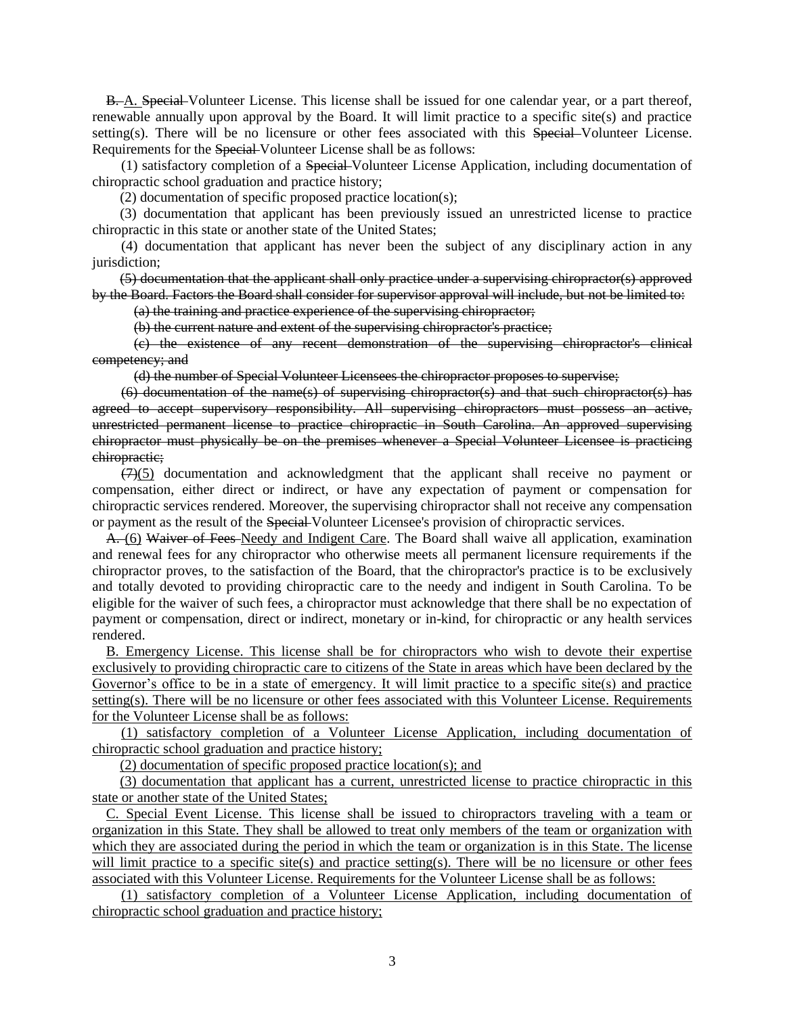B. A. Special Volunteer License. This license shall be issued for one calendar year, or a part thereof, renewable annually upon approval by the Board. It will limit practice to a specific site(s) and practice setting(s). There will be no licensure or other fees associated with this Special Volunteer License. Requirements for the Special Volunteer License shall be as follows:

(1) satisfactory completion of a Special Volunteer License Application, including documentation of chiropractic school graduation and practice history;

(2) documentation of specific proposed practice location(s);

(3) documentation that applicant has been previously issued an unrestricted license to practice chiropractic in this state or another state of the United States;

(4) documentation that applicant has never been the subject of any disciplinary action in any jurisdiction;

(5) documentation that the applicant shall only practice under a supervising chiropractor(s) approved by the Board. Factors the Board shall consider for supervisor approval will include, but not be limited to:

(a) the training and practice experience of the supervising chiropractor;

(b) the current nature and extent of the supervising chiropractor's practice;

(c) the existence of any recent demonstration of the supervising chiropractor's clinical competency; and

(d) the number of Special Volunteer Licensees the chiropractor proposes to supervise;

(6) documentation of the name(s) of supervising chiropractor(s) and that such chiropractor(s) has agreed to accept supervisory responsibility. All supervising chiropractors must possess an active, unrestricted permanent license to practice chiropractic in South Carolina. An approved supervising chiropractor must physically be on the premises whenever a Special Volunteer Licensee is practicing chiropractic;

 $(7)(5)$  documentation and acknowledgment that the applicant shall receive no payment or compensation, either direct or indirect, or have any expectation of payment or compensation for chiropractic services rendered. Moreover, the supervising chiropractor shall not receive any compensation or payment as the result of the Special Volunteer Licensee's provision of chiropractic services.

A. (6) Waiver of Fees Needy and Indigent Care. The Board shall waive all application, examination and renewal fees for any chiropractor who otherwise meets all permanent licensure requirements if the chiropractor proves, to the satisfaction of the Board, that the chiropractor's practice is to be exclusively and totally devoted to providing chiropractic care to the needy and indigent in South Carolina. To be eligible for the waiver of such fees, a chiropractor must acknowledge that there shall be no expectation of payment or compensation, direct or indirect, monetary or in-kind, for chiropractic or any health services rendered.

B. Emergency License. This license shall be for chiropractors who wish to devote their expertise exclusively to providing chiropractic care to citizens of the State in areas which have been declared by the Governor's office to be in a state of emergency. It will limit practice to a specific site(s) and practice setting(s). There will be no licensure or other fees associated with this Volunteer License. Requirements for the Volunteer License shall be as follows:

(1) satisfactory completion of a Volunteer License Application, including documentation of chiropractic school graduation and practice history;

(2) documentation of specific proposed practice location(s); and

(3) documentation that applicant has a current, unrestricted license to practice chiropractic in this state or another state of the United States;

C. Special Event License. This license shall be issued to chiropractors traveling with a team or organization in this State. They shall be allowed to treat only members of the team or organization with which they are associated during the period in which the team or organization is in this State. The license will limit practice to a specific site(s) and practice setting(s). There will be no licensure or other fees associated with this Volunteer License. Requirements for the Volunteer License shall be as follows:

(1) satisfactory completion of a Volunteer License Application, including documentation of chiropractic school graduation and practice history;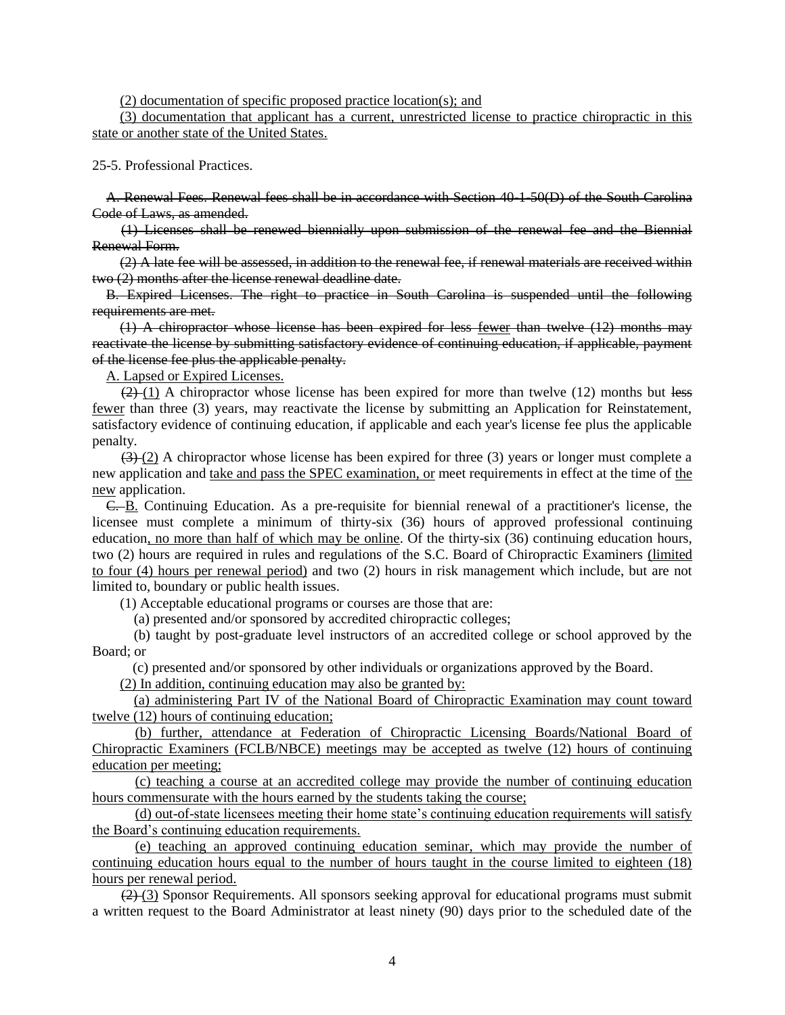(2) documentation of specific proposed practice location(s); and

(3) documentation that applicant has a current, unrestricted license to practice chiropractic in this state or another state of the United States.

#### 25-5. Professional Practices.

A. Renewal Fees. Renewal fees shall be in accordance with Section 40-1-50(D) of the South Carolina Code of Laws, as amended.

(1) Licenses shall be renewed biennially upon submission of the renewal fee and the Biennial Renewal Form.

(2) A late fee will be assessed, in addition to the renewal fee, if renewal materials are received within two (2) months after the license renewal deadline date.

B. Expired Licenses. The right to practice in South Carolina is suspended until the following requirements are met.

(1) A chiropractor whose license has been expired for less fewer than twelve (12) months may reactivate the license by submitting satisfactory evidence of continuing education, if applicable, payment of the license fee plus the applicable penalty.

A. Lapsed or Expired Licenses.

 $(2)$  (1) A chiropractor whose license has been expired for more than twelve (12) months but less fewer than three (3) years, may reactivate the license by submitting an Application for Reinstatement, satisfactory evidence of continuing education, if applicable and each year's license fee plus the applicable penalty.

 $(3)$  (2) A chiropractor whose license has been expired for three (3) years or longer must complete a new application and take and pass the SPEC examination, or meet requirements in effect at the time of the new application.

C. B. Continuing Education. As a pre-requisite for biennial renewal of a practitioner's license, the licensee must complete a minimum of thirty-six (36) hours of approved professional continuing education, no more than half of which may be online. Of the thirty-six (36) continuing education hours, two (2) hours are required in rules and regulations of the S.C. Board of Chiropractic Examiners (limited to four (4) hours per renewal period) and two (2) hours in risk management which include, but are not limited to, boundary or public health issues.

(1) Acceptable educational programs or courses are those that are:

(a) presented and/or sponsored by accredited chiropractic colleges;

(b) taught by post-graduate level instructors of an accredited college or school approved by the Board; or

(c) presented and/or sponsored by other individuals or organizations approved by the Board.

(2) In addition, continuing education may also be granted by:

(a) administering Part IV of the National Board of Chiropractic Examination may count toward twelve (12) hours of continuing education;

(b) further, attendance at Federation of Chiropractic Licensing Boards/National Board of Chiropractic Examiners (FCLB/NBCE) meetings may be accepted as twelve (12) hours of continuing education per meeting;

(c) teaching a course at an accredited college may provide the number of continuing education hours commensurate with the hours earned by the students taking the course;

(d) out-of-state licensees meeting their home state's continuing education requirements will satisfy the Board's continuing education requirements.

(e) teaching an approved continuing education seminar, which may provide the number of continuing education hours equal to the number of hours taught in the course limited to eighteen (18) hours per renewal period.

(2) (3) Sponsor Requirements. All sponsors seeking approval for educational programs must submit a written request to the Board Administrator at least ninety (90) days prior to the scheduled date of the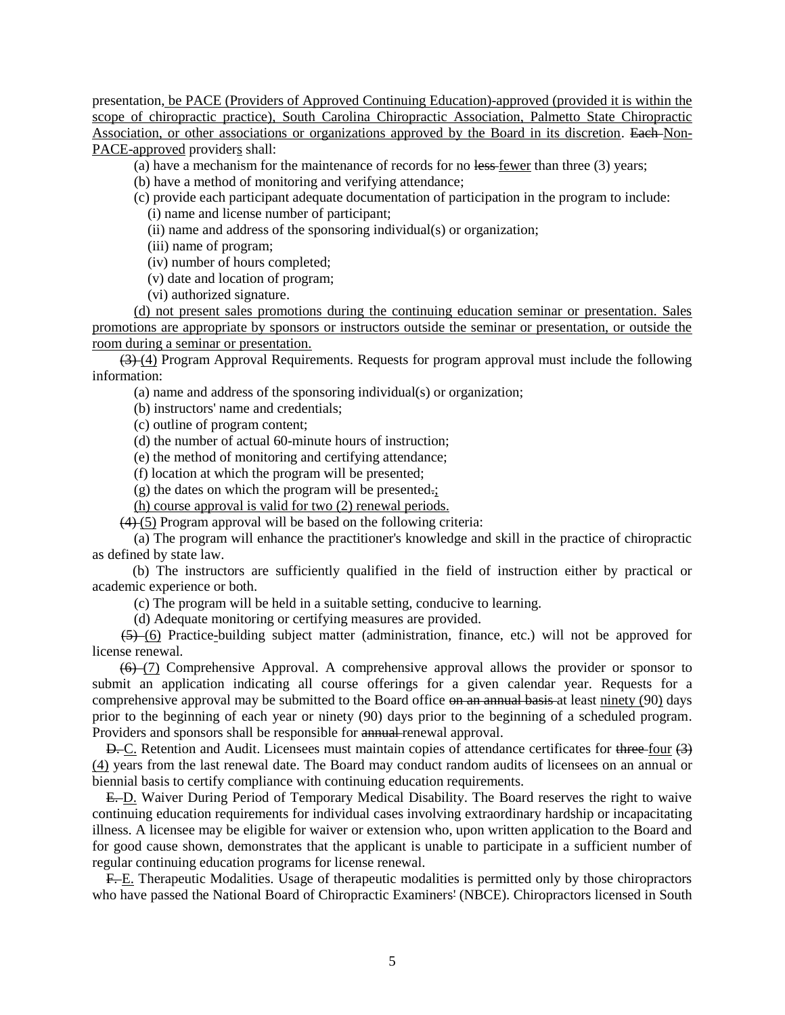presentation, be PACE (Providers of Approved Continuing Education)-approved (provided it is within the scope of chiropractic practice), South Carolina Chiropractic Association, Palmetto State Chiropractic Association, or other associations or organizations approved by the Board in its discretion. Each Non-PACE-approved providers shall:

(a) have a mechanism for the maintenance of records for no  $\frac{1}{\sqrt{2}}$  fewer than three (3) years;

- (b) have a method of monitoring and verifying attendance;
- (c) provide each participant adequate documentation of participation in the program to include:

(i) name and license number of participant;

(ii) name and address of the sponsoring individual(s) or organization;

(iii) name of program;

- (iv) number of hours completed;
- (v) date and location of program;
- (vi) authorized signature.

(d) not present sales promotions during the continuing education seminar or presentation. Sales promotions are appropriate by sponsors or instructors outside the seminar or presentation, or outside the room during a seminar or presentation.

(3) (4) Program Approval Requirements. Requests for program approval must include the following information:

(a) name and address of the sponsoring individual(s) or organization;

(b) instructors' name and credentials;

(c) outline of program content;

(d) the number of actual 60-minute hours of instruction;

(e) the method of monitoring and certifying attendance;

(f) location at which the program will be presented;

(g) the dates on which the program will be presented.;

(h) course approval is valid for two (2) renewal periods.

 $(4)$  (5) Program approval will be based on the following criteria:

(a) The program will enhance the practitioner's knowledge and skill in the practice of chiropractic as defined by state law.

(b) The instructors are sufficiently qualified in the field of instruction either by practical or academic experience or both.

(c) The program will be held in a suitable setting, conducive to learning.

(d) Adequate monitoring or certifying measures are provided.

(5) (6) Practice-building subject matter (administration, finance, etc.) will not be approved for license renewal.

(6) (7) Comprehensive Approval. A comprehensive approval allows the provider or sponsor to submit an application indicating all course offerings for a given calendar year. Requests for a comprehensive approval may be submitted to the Board office on an annual basis at least ninety (90) days prior to the beginning of each year or ninety (90) days prior to the beginning of a scheduled program. Providers and sponsors shall be responsible for annual renewal approval.

D. C. Retention and Audit. Licensees must maintain copies of attendance certificates for three four (3) (4) years from the last renewal date. The Board may conduct random audits of licensees on an annual or biennial basis to certify compliance with continuing education requirements.

E. D. Waiver During Period of Temporary Medical Disability. The Board reserves the right to waive continuing education requirements for individual cases involving extraordinary hardship or incapacitating illness. A licensee may be eligible for waiver or extension who, upon written application to the Board and for good cause shown, demonstrates that the applicant is unable to participate in a sufficient number of regular continuing education programs for license renewal.

F. E. Therapeutic Modalities. Usage of therapeutic modalities is permitted only by those chiropractors who have passed the National Board of Chiropractic Examiners' (NBCE). Chiropractors licensed in South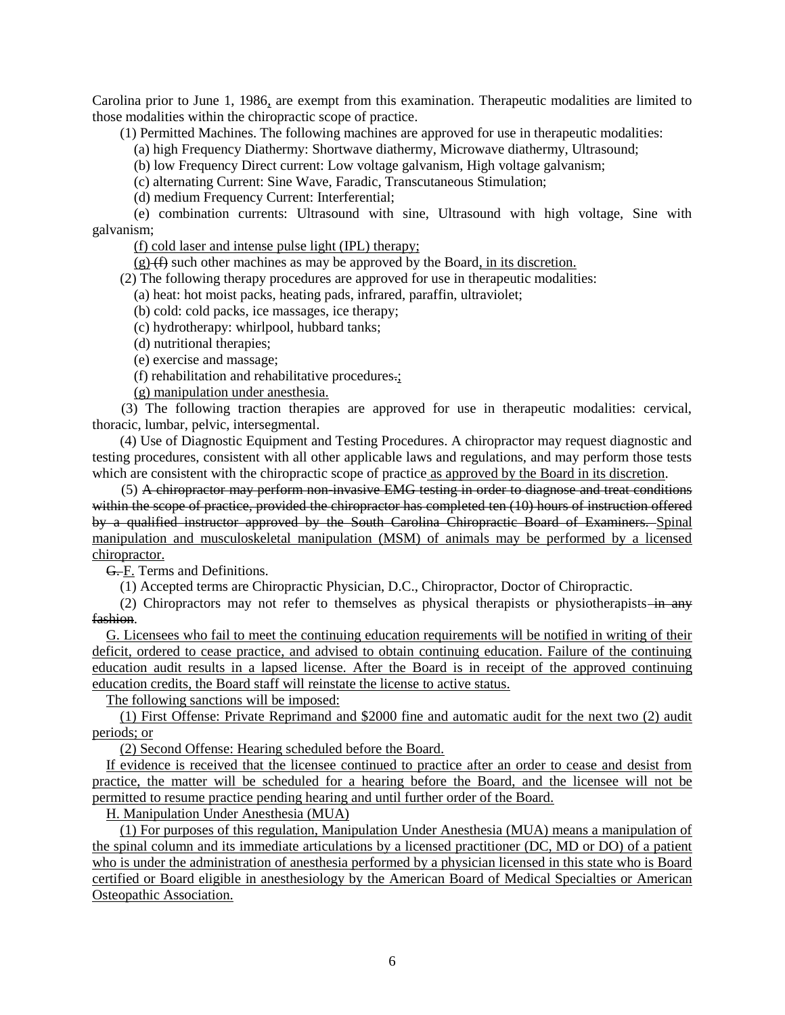Carolina prior to June 1, 1986, are exempt from this examination. Therapeutic modalities are limited to those modalities within the chiropractic scope of practice.

(1) Permitted Machines. The following machines are approved for use in therapeutic modalities:

(a) high Frequency Diathermy: Shortwave diathermy, Microwave diathermy, Ultrasound;

(b) low Frequency Direct current: Low voltage galvanism, High voltage galvanism;

(c) alternating Current: Sine Wave, Faradic, Transcutaneous Stimulation;

(d) medium Frequency Current: Interferential;

(e) combination currents: Ultrasound with sine, Ultrasound with high voltage, Sine with galvanism;

(f) cold laser and intense pulse light (IPL) therapy;

 $(g)$  (f) such other machines as may be approved by the Board, in its discretion.

(2) The following therapy procedures are approved for use in therapeutic modalities:

(a) heat: hot moist packs, heating pads, infrared, paraffin, ultraviolet;

(b) cold: cold packs, ice massages, ice therapy;

(c) hydrotherapy: whirlpool, hubbard tanks;

(d) nutritional therapies;

(e) exercise and massage;

(f) rehabilitation and rehabilitative procedures.;

(g) manipulation under anesthesia.

(3) The following traction therapies are approved for use in therapeutic modalities: cervical, thoracic, lumbar, pelvic, intersegmental.

(4) Use of Diagnostic Equipment and Testing Procedures. A chiropractor may request diagnostic and testing procedures, consistent with all other applicable laws and regulations, and may perform those tests which are consistent with the chiropractic scope of practice as approved by the Board in its discretion.

(5) A chiropractor may perform non-invasive EMG testing in order to diagnose and treat conditions within the scope of practice, provided the chiropractor has completed ten (10) hours of instruction offered by a qualified instructor approved by the South Carolina Chiropractic Board of Examiners. Spinal manipulation and musculoskeletal manipulation (MSM) of animals may be performed by a licensed chiropractor.

G. F. Terms and Definitions.

(1) Accepted terms are Chiropractic Physician, D.C., Chiropractor, Doctor of Chiropractic.

(2) Chiropractors may not refer to themselves as physical therapists or physiotherapists—in any fashion.

G. Licensees who fail to meet the continuing education requirements will be notified in writing of their deficit, ordered to cease practice, and advised to obtain continuing education. Failure of the continuing education audit results in a lapsed license. After the Board is in receipt of the approved continuing education credits, the Board staff will reinstate the license to active status.

The following sanctions will be imposed:

(1) First Offense: Private Reprimand and \$2000 fine and automatic audit for the next two (2) audit periods; or

(2) Second Offense: Hearing scheduled before the Board.

If evidence is received that the licensee continued to practice after an order to cease and desist from practice, the matter will be scheduled for a hearing before the Board, and the licensee will not be permitted to resume practice pending hearing and until further order of the Board.

H. Manipulation Under Anesthesia (MUA)

(1) For purposes of this regulation, Manipulation Under Anesthesia (MUA) means a manipulation of the spinal column and its immediate articulations by a licensed practitioner (DC, MD or DO) of a patient who is under the administration of anesthesia performed by a physician licensed in this state who is Board certified or Board eligible in anesthesiology by the American Board of Medical Specialties or American Osteopathic Association.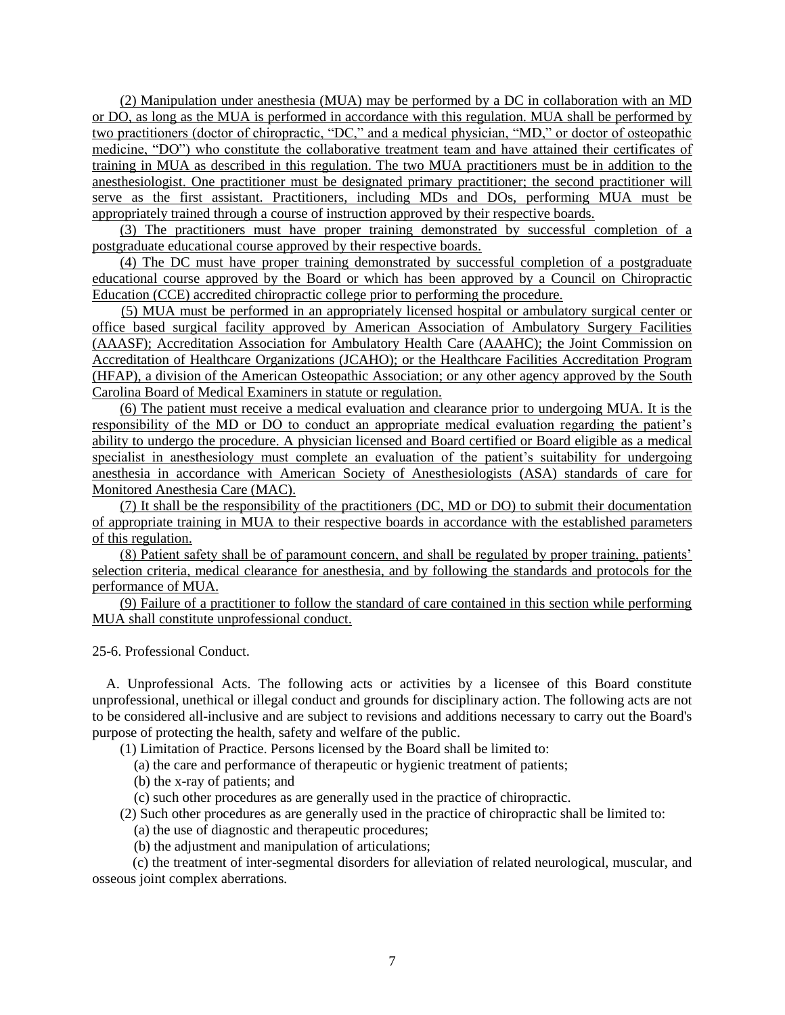(2) Manipulation under anesthesia (MUA) may be performed by a DC in collaboration with an MD or DO, as long as the MUA is performed in accordance with this regulation. MUA shall be performed by two practitioners (doctor of chiropractic, "DC," and a medical physician, "MD," or doctor of osteopathic medicine, "DO") who constitute the collaborative treatment team and have attained their certificates of training in MUA as described in this regulation. The two MUA practitioners must be in addition to the anesthesiologist. One practitioner must be designated primary practitioner; the second practitioner will serve as the first assistant. Practitioners, including MDs and DOs, performing MUA must be appropriately trained through a course of instruction approved by their respective boards.

(3) The practitioners must have proper training demonstrated by successful completion of a postgraduate educational course approved by their respective boards.

(4) The DC must have proper training demonstrated by successful completion of a postgraduate educational course approved by the Board or which has been approved by a Council on Chiropractic Education (CCE) accredited chiropractic college prior to performing the procedure.

(5) MUA must be performed in an appropriately licensed hospital or ambulatory surgical center or office based surgical facility approved by American Association of Ambulatory Surgery Facilities (AAASF); Accreditation Association for Ambulatory Health Care (AAAHC); the Joint Commission on Accreditation of Healthcare Organizations (JCAHO); or the Healthcare Facilities Accreditation Program (HFAP), a division of the American Osteopathic Association; or any other agency approved by the South Carolina Board of Medical Examiners in statute or regulation.

(6) The patient must receive a medical evaluation and clearance prior to undergoing MUA. It is the responsibility of the MD or DO to conduct an appropriate medical evaluation regarding the patient's ability to undergo the procedure. A physician licensed and Board certified or Board eligible as a medical specialist in anesthesiology must complete an evaluation of the patient's suitability for undergoing anesthesia in accordance with American Society of Anesthesiologists (ASA) standards of care for Monitored Anesthesia Care (MAC).

(7) It shall be the responsibility of the practitioners (DC, MD or DO) to submit their documentation of appropriate training in MUA to their respective boards in accordance with the established parameters of this regulation.

(8) Patient safety shall be of paramount concern, and shall be regulated by proper training, patients' selection criteria, medical clearance for anesthesia, and by following the standards and protocols for the performance of MUA.

(9) Failure of a practitioner to follow the standard of care contained in this section while performing MUA shall constitute unprofessional conduct.

25-6. Professional Conduct.

A. Unprofessional Acts. The following acts or activities by a licensee of this Board constitute unprofessional, unethical or illegal conduct and grounds for disciplinary action. The following acts are not to be considered all-inclusive and are subject to revisions and additions necessary to carry out the Board's purpose of protecting the health, safety and welfare of the public.

(1) Limitation of Practice. Persons licensed by the Board shall be limited to:

(a) the care and performance of therapeutic or hygienic treatment of patients;

(b) the x-ray of patients; and

(c) such other procedures as are generally used in the practice of chiropractic.

(2) Such other procedures as are generally used in the practice of chiropractic shall be limited to:

(a) the use of diagnostic and therapeutic procedures;

(b) the adjustment and manipulation of articulations;

(c) the treatment of inter-segmental disorders for alleviation of related neurological, muscular, and osseous joint complex aberrations.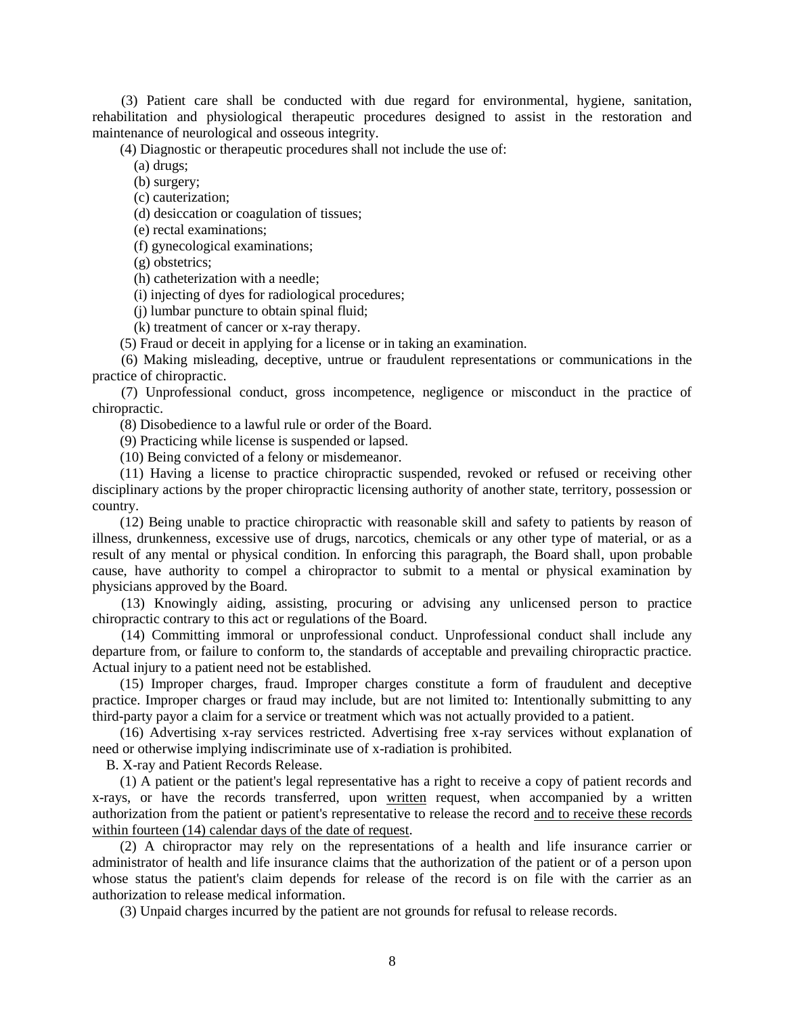(3) Patient care shall be conducted with due regard for environmental, hygiene, sanitation, rehabilitation and physiological therapeutic procedures designed to assist in the restoration and maintenance of neurological and osseous integrity.

(4) Diagnostic or therapeutic procedures shall not include the use of:

(a) drugs;

(b) surgery;

(c) cauterization;

(d) desiccation or coagulation of tissues;

(e) rectal examinations;

(f) gynecological examinations;

(g) obstetrics;

(h) catheterization with a needle;

(i) injecting of dyes for radiological procedures;

(j) lumbar puncture to obtain spinal fluid;

(k) treatment of cancer or x-ray therapy.

(5) Fraud or deceit in applying for a license or in taking an examination.

(6) Making misleading, deceptive, untrue or fraudulent representations or communications in the practice of chiropractic.

(7) Unprofessional conduct, gross incompetence, negligence or misconduct in the practice of chiropractic.

(8) Disobedience to a lawful rule or order of the Board.

(9) Practicing while license is suspended or lapsed.

(10) Being convicted of a felony or misdemeanor.

(11) Having a license to practice chiropractic suspended, revoked or refused or receiving other disciplinary actions by the proper chiropractic licensing authority of another state, territory, possession or country.

(12) Being unable to practice chiropractic with reasonable skill and safety to patients by reason of illness, drunkenness, excessive use of drugs, narcotics, chemicals or any other type of material, or as a result of any mental or physical condition. In enforcing this paragraph, the Board shall, upon probable cause, have authority to compel a chiropractor to submit to a mental or physical examination by physicians approved by the Board.

(13) Knowingly aiding, assisting, procuring or advising any unlicensed person to practice chiropractic contrary to this act or regulations of the Board.

(14) Committing immoral or unprofessional conduct. Unprofessional conduct shall include any departure from, or failure to conform to, the standards of acceptable and prevailing chiropractic practice. Actual injury to a patient need not be established.

(15) Improper charges, fraud. Improper charges constitute a form of fraudulent and deceptive practice. Improper charges or fraud may include, but are not limited to: Intentionally submitting to any third-party payor a claim for a service or treatment which was not actually provided to a patient.

(16) Advertising x-ray services restricted. Advertising free x-ray services without explanation of need or otherwise implying indiscriminate use of x-radiation is prohibited.

B. X-ray and Patient Records Release.

(1) A patient or the patient's legal representative has a right to receive a copy of patient records and x-rays, or have the records transferred, upon written request, when accompanied by a written authorization from the patient or patient's representative to release the record and to receive these records within fourteen (14) calendar days of the date of request.

(2) A chiropractor may rely on the representations of a health and life insurance carrier or administrator of health and life insurance claims that the authorization of the patient or of a person upon whose status the patient's claim depends for release of the record is on file with the carrier as an authorization to release medical information.

(3) Unpaid charges incurred by the patient are not grounds for refusal to release records.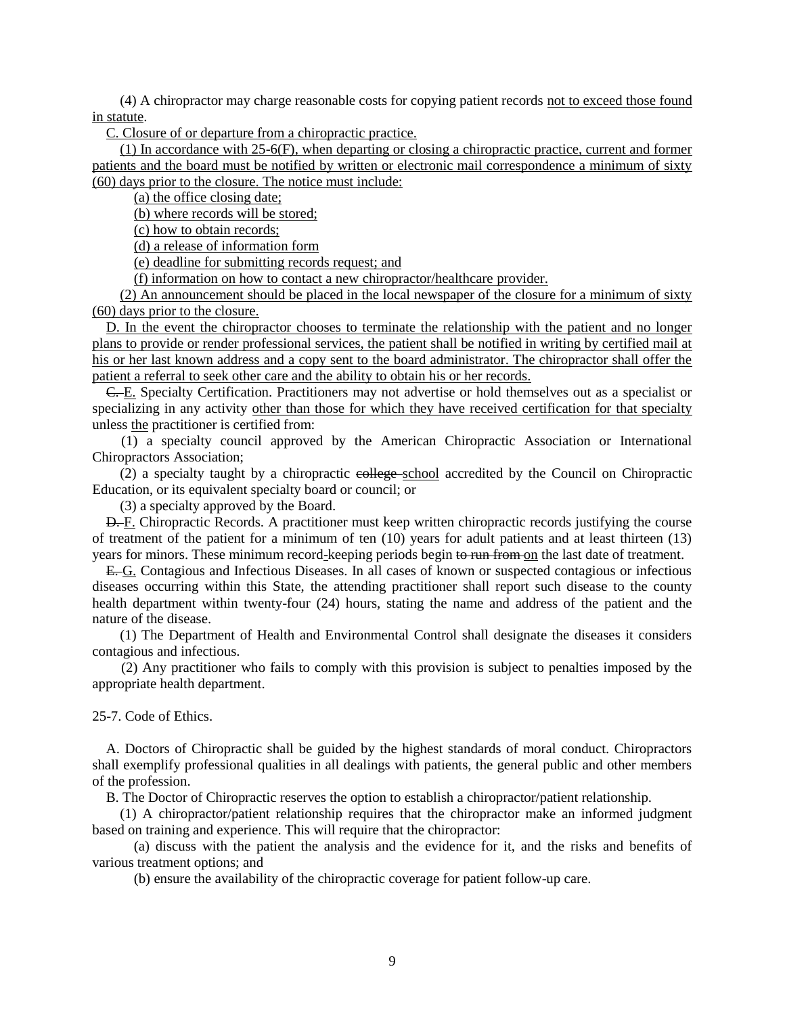(4) A chiropractor may charge reasonable costs for copying patient records not to exceed those found in statute.

C. Closure of or departure from a chiropractic practice.

(1) In accordance with 25-6(F), when departing or closing a chiropractic practice, current and former patients and the board must be notified by written or electronic mail correspondence a minimum of sixty (60) days prior to the closure. The notice must include:

(a) the office closing date;

(b) where records will be stored;

(c) how to obtain records;

(d) a release of information form

(e) deadline for submitting records request; and

(f) information on how to contact a new chiropractor/healthcare provider.

(2) An announcement should be placed in the local newspaper of the closure for a minimum of sixty (60) days prior to the closure.

D. In the event the chiropractor chooses to terminate the relationship with the patient and no longer plans to provide or render professional services, the patient shall be notified in writing by certified mail at his or her last known address and a copy sent to the board administrator. The chiropractor shall offer the patient a referral to seek other care and the ability to obtain his or her records.

C. E. Specialty Certification. Practitioners may not advertise or hold themselves out as a specialist or specializing in any activity other than those for which they have received certification for that specialty unless the practitioner is certified from:

(1) a specialty council approved by the American Chiropractic Association or International Chiropractors Association;

(2) a specialty taught by a chiropractic college school accredited by the Council on Chiropractic Education, or its equivalent specialty board or council; or

(3) a specialty approved by the Board.

D. F. Chiropractic Records. A practitioner must keep written chiropractic records justifying the course of treatment of the patient for a minimum of ten (10) years for adult patients and at least thirteen (13) years for minors. These minimum record-keeping periods begin to run from on the last date of treatment.

E. G. Contagious and Infectious Diseases. In all cases of known or suspected contagious or infectious diseases occurring within this State, the attending practitioner shall report such disease to the county health department within twenty-four (24) hours, stating the name and address of the patient and the nature of the disease.

(1) The Department of Health and Environmental Control shall designate the diseases it considers contagious and infectious.

(2) Any practitioner who fails to comply with this provision is subject to penalties imposed by the appropriate health department.

25-7. Code of Ethics.

A. Doctors of Chiropractic shall be guided by the highest standards of moral conduct. Chiropractors shall exemplify professional qualities in all dealings with patients, the general public and other members of the profession.

B. The Doctor of Chiropractic reserves the option to establish a chiropractor/patient relationship.

(1) A chiropractor/patient relationship requires that the chiropractor make an informed judgment based on training and experience. This will require that the chiropractor:

(a) discuss with the patient the analysis and the evidence for it, and the risks and benefits of various treatment options; and

(b) ensure the availability of the chiropractic coverage for patient follow-up care.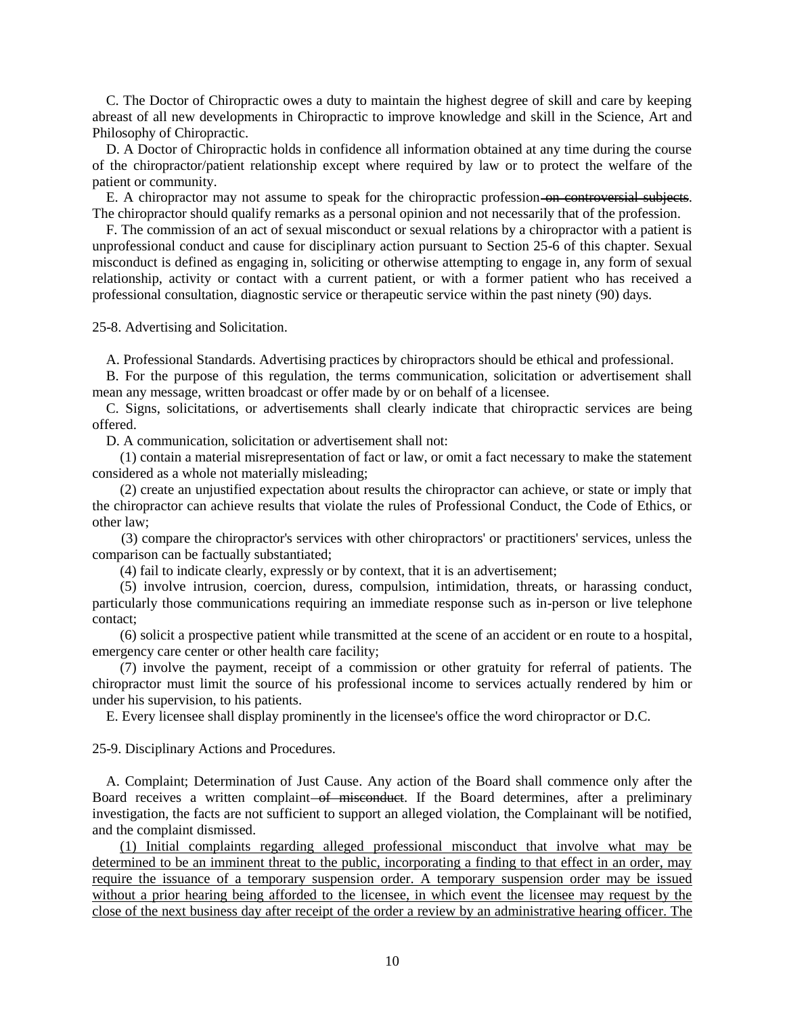C. The Doctor of Chiropractic owes a duty to maintain the highest degree of skill and care by keeping abreast of all new developments in Chiropractic to improve knowledge and skill in the Science, Art and Philosophy of Chiropractic.

D. A Doctor of Chiropractic holds in confidence all information obtained at any time during the course of the chiropractor/patient relationship except where required by law or to protect the welfare of the patient or community.

E. A chiropractor may not assume to speak for the chiropractic profession on controversial subjects. The chiropractor should qualify remarks as a personal opinion and not necessarily that of the profession.

F. The commission of an act of sexual misconduct or sexual relations by a chiropractor with a patient is unprofessional conduct and cause for disciplinary action pursuant to Section 25-6 of this chapter. Sexual misconduct is defined as engaging in, soliciting or otherwise attempting to engage in, any form of sexual relationship, activity or contact with a current patient, or with a former patient who has received a professional consultation, diagnostic service or therapeutic service within the past ninety (90) days.

25-8. Advertising and Solicitation.

A. Professional Standards. Advertising practices by chiropractors should be ethical and professional.

B. For the purpose of this regulation, the terms communication, solicitation or advertisement shall mean any message, written broadcast or offer made by or on behalf of a licensee.

C. Signs, solicitations, or advertisements shall clearly indicate that chiropractic services are being offered.

D. A communication, solicitation or advertisement shall not:

(1) contain a material misrepresentation of fact or law, or omit a fact necessary to make the statement considered as a whole not materially misleading;

(2) create an unjustified expectation about results the chiropractor can achieve, or state or imply that the chiropractor can achieve results that violate the rules of Professional Conduct, the Code of Ethics, or other law;

(3) compare the chiropractor's services with other chiropractors' or practitioners' services, unless the comparison can be factually substantiated;

(4) fail to indicate clearly, expressly or by context, that it is an advertisement;

(5) involve intrusion, coercion, duress, compulsion, intimidation, threats, or harassing conduct, particularly those communications requiring an immediate response such as in-person or live telephone contact;

(6) solicit a prospective patient while transmitted at the scene of an accident or en route to a hospital, emergency care center or other health care facility;

(7) involve the payment, receipt of a commission or other gratuity for referral of patients. The chiropractor must limit the source of his professional income to services actually rendered by him or under his supervision, to his patients.

E. Every licensee shall display prominently in the licensee's office the word chiropractor or D.C.

25-9. Disciplinary Actions and Procedures.

A. Complaint; Determination of Just Cause. Any action of the Board shall commence only after the Board receives a written complaint–of misconduct. If the Board determines, after a preliminary investigation, the facts are not sufficient to support an alleged violation, the Complainant will be notified, and the complaint dismissed.

(1) Initial complaints regarding alleged professional misconduct that involve what may be determined to be an imminent threat to the public, incorporating a finding to that effect in an order, may require the issuance of a temporary suspension order. A temporary suspension order may be issued without a prior hearing being afforded to the licensee, in which event the licensee may request by the close of the next business day after receipt of the order a review by an administrative hearing officer. The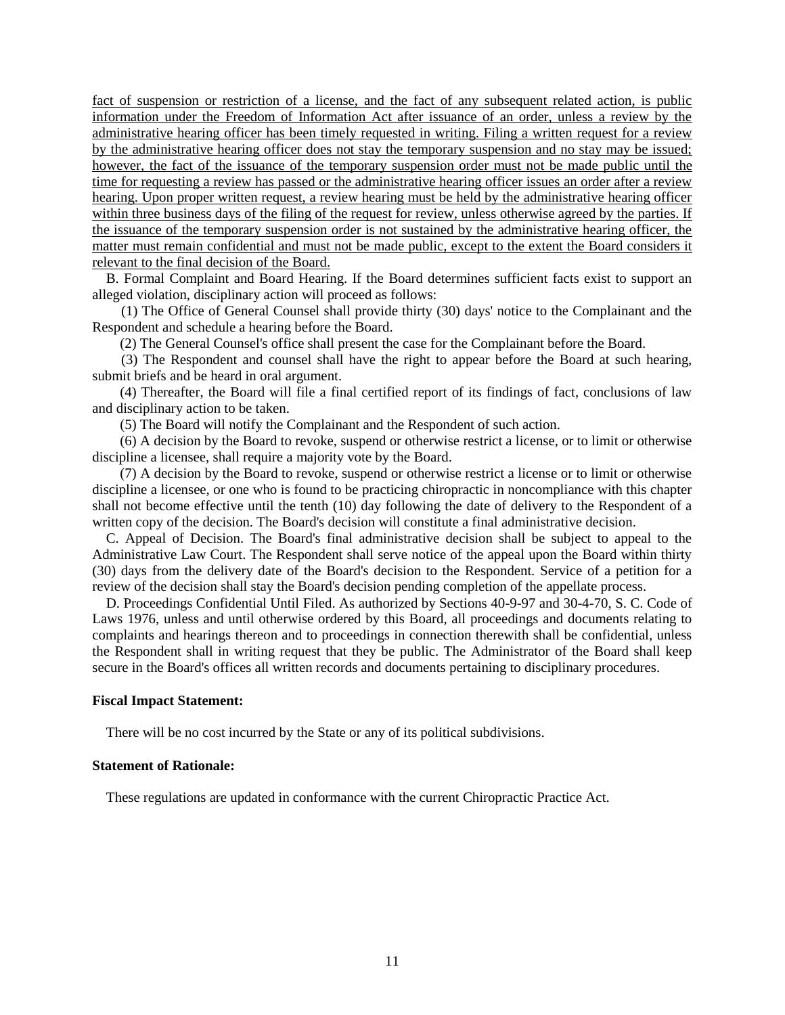fact of suspension or restriction of a license, and the fact of any subsequent related action, is public information under the Freedom of Information Act after issuance of an order, unless a review by the administrative hearing officer has been timely requested in writing. Filing a written request for a review by the administrative hearing officer does not stay the temporary suspension and no stay may be issued; however, the fact of the issuance of the temporary suspension order must not be made public until the time for requesting a review has passed or the administrative hearing officer issues an order after a review hearing. Upon proper written request, a review hearing must be held by the administrative hearing officer within three business days of the filing of the request for review, unless otherwise agreed by the parties. If the issuance of the temporary suspension order is not sustained by the administrative hearing officer, the matter must remain confidential and must not be made public, except to the extent the Board considers it relevant to the final decision of the Board.

B. Formal Complaint and Board Hearing. If the Board determines sufficient facts exist to support an alleged violation, disciplinary action will proceed as follows:

(1) The Office of General Counsel shall provide thirty (30) days' notice to the Complainant and the Respondent and schedule a hearing before the Board.

(2) The General Counsel's office shall present the case for the Complainant before the Board.

(3) The Respondent and counsel shall have the right to appear before the Board at such hearing, submit briefs and be heard in oral argument.

(4) Thereafter, the Board will file a final certified report of its findings of fact, conclusions of law and disciplinary action to be taken.

(5) The Board will notify the Complainant and the Respondent of such action.

(6) A decision by the Board to revoke, suspend or otherwise restrict a license, or to limit or otherwise discipline a licensee, shall require a majority vote by the Board.

(7) A decision by the Board to revoke, suspend or otherwise restrict a license or to limit or otherwise discipline a licensee, or one who is found to be practicing chiropractic in noncompliance with this chapter shall not become effective until the tenth (10) day following the date of delivery to the Respondent of a written copy of the decision. The Board's decision will constitute a final administrative decision.

C. Appeal of Decision. The Board's final administrative decision shall be subject to appeal to the Administrative Law Court. The Respondent shall serve notice of the appeal upon the Board within thirty (30) days from the delivery date of the Board's decision to the Respondent. Service of a petition for a review of the decision shall stay the Board's decision pending completion of the appellate process.

D. Proceedings Confidential Until Filed. As authorized by Sections 40-9-97 and 30-4-70, S. C. Code of Laws 1976, unless and until otherwise ordered by this Board, all proceedings and documents relating to complaints and hearings thereon and to proceedings in connection therewith shall be confidential, unless the Respondent shall in writing request that they be public. The Administrator of the Board shall keep secure in the Board's offices all written records and documents pertaining to disciplinary procedures.

#### **Fiscal Impact Statement:**

There will be no cost incurred by the State or any of its political subdivisions.

#### **Statement of Rationale:**

These regulations are updated in conformance with the current Chiropractic Practice Act.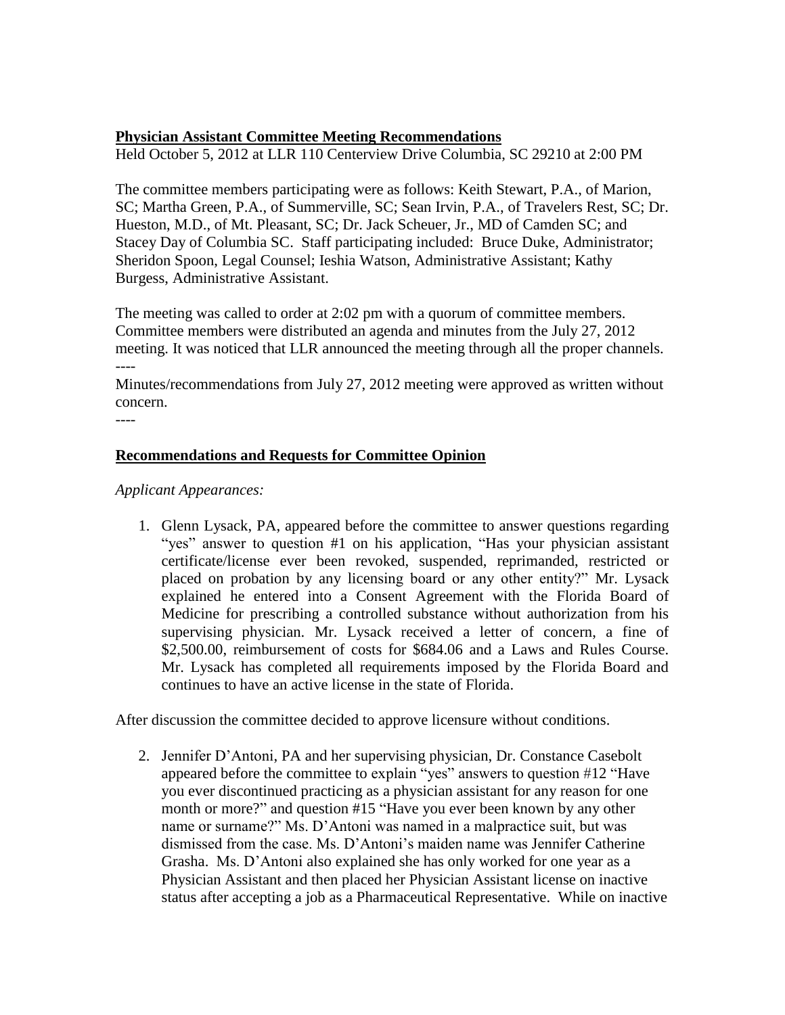#### **Physician Assistant Committee Meeting Recommendations**

Held October 5, 2012 at LLR 110 Centerview Drive Columbia, SC 29210 at 2:00 PM

The committee members participating were as follows: Keith Stewart, P.A., of Marion, SC; Martha Green, P.A., of Summerville, SC; Sean Irvin, P.A., of Travelers Rest, SC; Dr. Hueston, M.D., of Mt. Pleasant, SC; Dr. Jack Scheuer, Jr., MD of Camden SC; and Stacey Day of Columbia SC. Staff participating included: Bruce Duke, Administrator; Sheridon Spoon, Legal Counsel; Ieshia Watson, Administrative Assistant; Kathy Burgess, Administrative Assistant.

The meeting was called to order at 2:02 pm with a quorum of committee members. Committee members were distributed an agenda and minutes from the July 27, 2012 meeting. It was noticed that LLR announced the meeting through all the proper channels. ----

Minutes/recommendations from July 27, 2012 meeting were approved as written without concern.

----

#### **Recommendations and Requests for Committee Opinion**

#### *Applicant Appearances:*

1. Glenn Lysack, PA, appeared before the committee to answer questions regarding "yes" answer to question #1 on his application, "Has your physician assistant certificate/license ever been revoked, suspended, reprimanded, restricted or placed on probation by any licensing board or any other entity?" Mr. Lysack explained he entered into a Consent Agreement with the Florida Board of Medicine for prescribing a controlled substance without authorization from his supervising physician. Mr. Lysack received a letter of concern, a fine of \$2,500.00, reimbursement of costs for \$684.06 and a Laws and Rules Course. Mr. Lysack has completed all requirements imposed by the Florida Board and continues to have an active license in the state of Florida.

After discussion the committee decided to approve licensure without conditions.

2. Jennifer D'Antoni, PA and her supervising physician, Dr. Constance Casebolt appeared before the committee to explain "yes" answers to question #12 "Have you ever discontinued practicing as a physician assistant for any reason for one month or more?" and question #15 "Have you ever been known by any other name or surname?" Ms. D'Antoni was named in a malpractice suit, but was dismissed from the case. Ms. D'Antoni's maiden name was Jennifer Catherine Grasha. Ms. D'Antoni also explained she has only worked for one year as a Physician Assistant and then placed her Physician Assistant license on inactive status after accepting a job as a Pharmaceutical Representative. While on inactive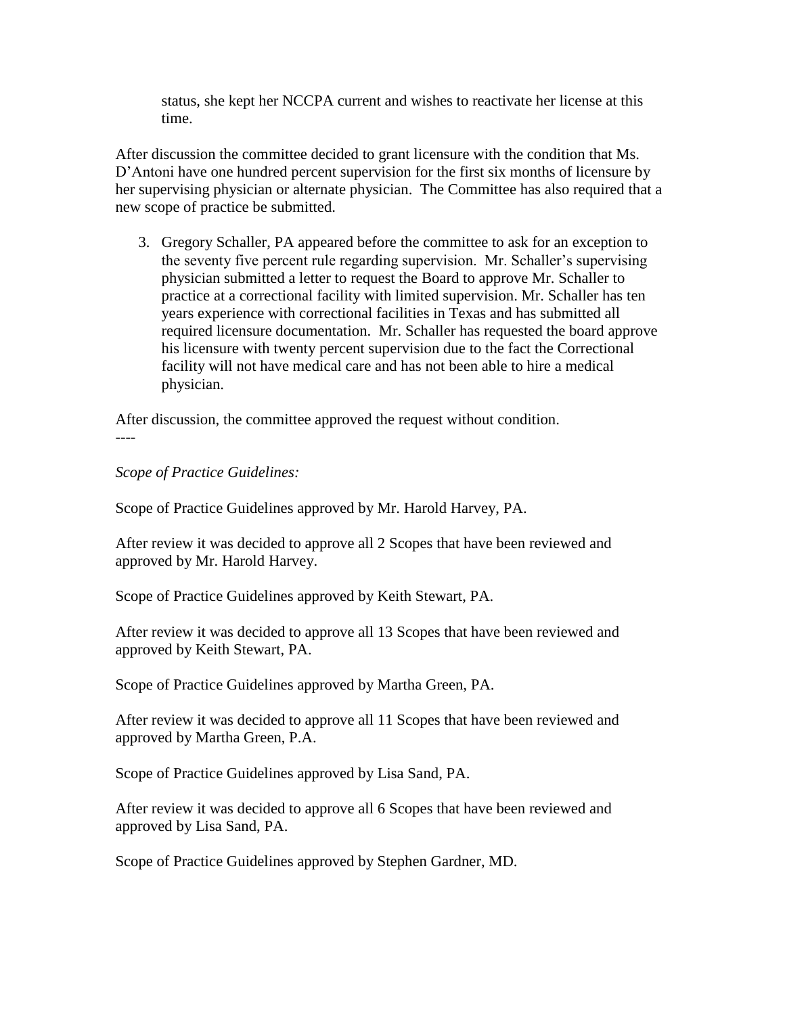status, she kept her NCCPA current and wishes to reactivate her license at this time.

After discussion the committee decided to grant licensure with the condition that Ms. D'Antoni have one hundred percent supervision for the first six months of licensure by her supervising physician or alternate physician. The Committee has also required that a new scope of practice be submitted.

3. Gregory Schaller, PA appeared before the committee to ask for an exception to the seventy five percent rule regarding supervision. Mr. Schaller's supervising physician submitted a letter to request the Board to approve Mr. Schaller to practice at a correctional facility with limited supervision. Mr. Schaller has ten years experience with correctional facilities in Texas and has submitted all required licensure documentation. Mr. Schaller has requested the board approve his licensure with twenty percent supervision due to the fact the Correctional facility will not have medical care and has not been able to hire a medical physician.

After discussion, the committee approved the request without condition. ----

*Scope of Practice Guidelines:*

Scope of Practice Guidelines approved by Mr. Harold Harvey, PA.

After review it was decided to approve all 2 Scopes that have been reviewed and approved by Mr. Harold Harvey.

Scope of Practice Guidelines approved by Keith Stewart, PA.

After review it was decided to approve all 13 Scopes that have been reviewed and approved by Keith Stewart, PA.

Scope of Practice Guidelines approved by Martha Green, PA.

After review it was decided to approve all 11 Scopes that have been reviewed and approved by Martha Green, P.A.

Scope of Practice Guidelines approved by Lisa Sand, PA.

After review it was decided to approve all 6 Scopes that have been reviewed and approved by Lisa Sand, PA.

Scope of Practice Guidelines approved by Stephen Gardner, MD.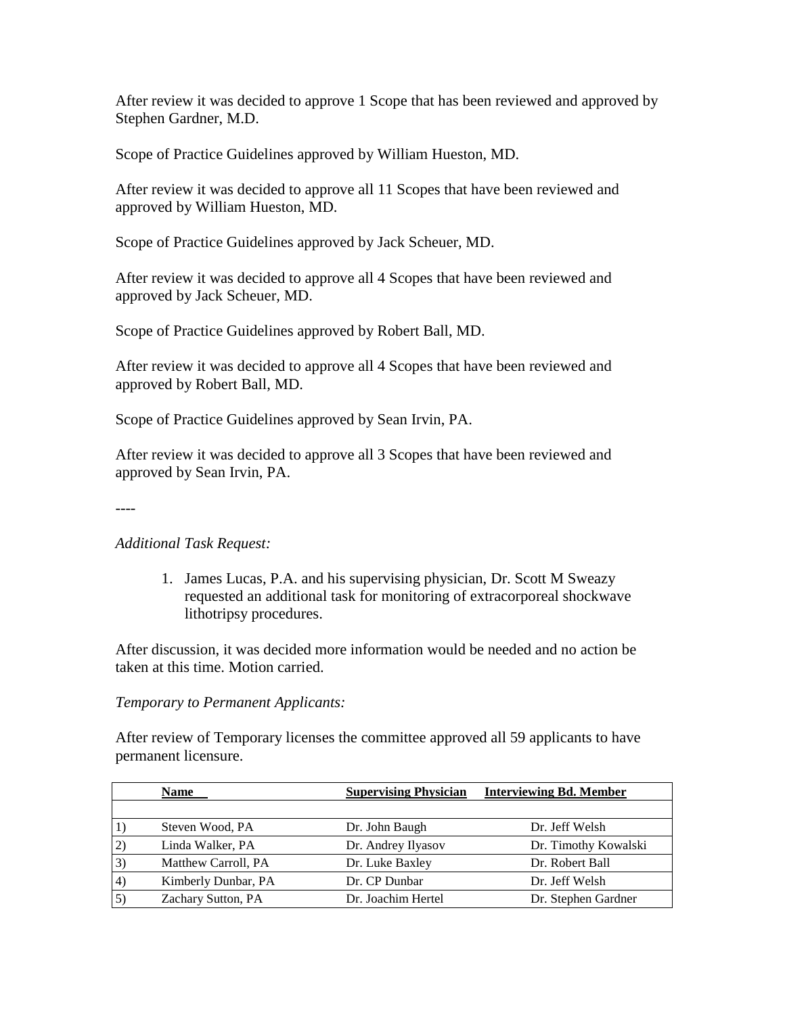After review it was decided to approve 1 Scope that has been reviewed and approved by Stephen Gardner, M.D.

Scope of Practice Guidelines approved by William Hueston, MD.

After review it was decided to approve all 11 Scopes that have been reviewed and approved by William Hueston, MD.

Scope of Practice Guidelines approved by Jack Scheuer, MD.

After review it was decided to approve all 4 Scopes that have been reviewed and approved by Jack Scheuer, MD.

Scope of Practice Guidelines approved by Robert Ball, MD.

After review it was decided to approve all 4 Scopes that have been reviewed and approved by Robert Ball, MD.

Scope of Practice Guidelines approved by Sean Irvin, PA.

After review it was decided to approve all 3 Scopes that have been reviewed and approved by Sean Irvin, PA.

----

*Additional Task Request:*

1. James Lucas, P.A. and his supervising physician, Dr. Scott M Sweazy requested an additional task for monitoring of extracorporeal shockwave lithotripsy procedures.

After discussion, it was decided more information would be needed and no action be taken at this time. Motion carried.

#### *Temporary to Permanent Applicants:*

After review of Temporary licenses the committee approved all 59 applicants to have permanent licensure.

|                  | <b>Name</b>         | <b>Supervising Physician</b> | <b>Interviewing Bd. Member</b> |
|------------------|---------------------|------------------------------|--------------------------------|
|                  |                     |                              |                                |
|                  | Steven Wood, PA     | Dr. John Baugh               | Dr. Jeff Welsh                 |
| 2)               | Linda Walker, PA    | Dr. Andrey Ilyasov           | Dr. Timothy Kowalski           |
| $\vert 3)$       | Matthew Carroll, PA | Dr. Luke Baxley              | Dr. Robert Ball                |
| $\vert$ 4)       | Kimberly Dunbar, PA | Dr. CP Dunbar                | Dr. Jeff Welsh                 |
| $\left(5\right)$ | Zachary Sutton, PA  | Dr. Joachim Hertel           | Dr. Stephen Gardner            |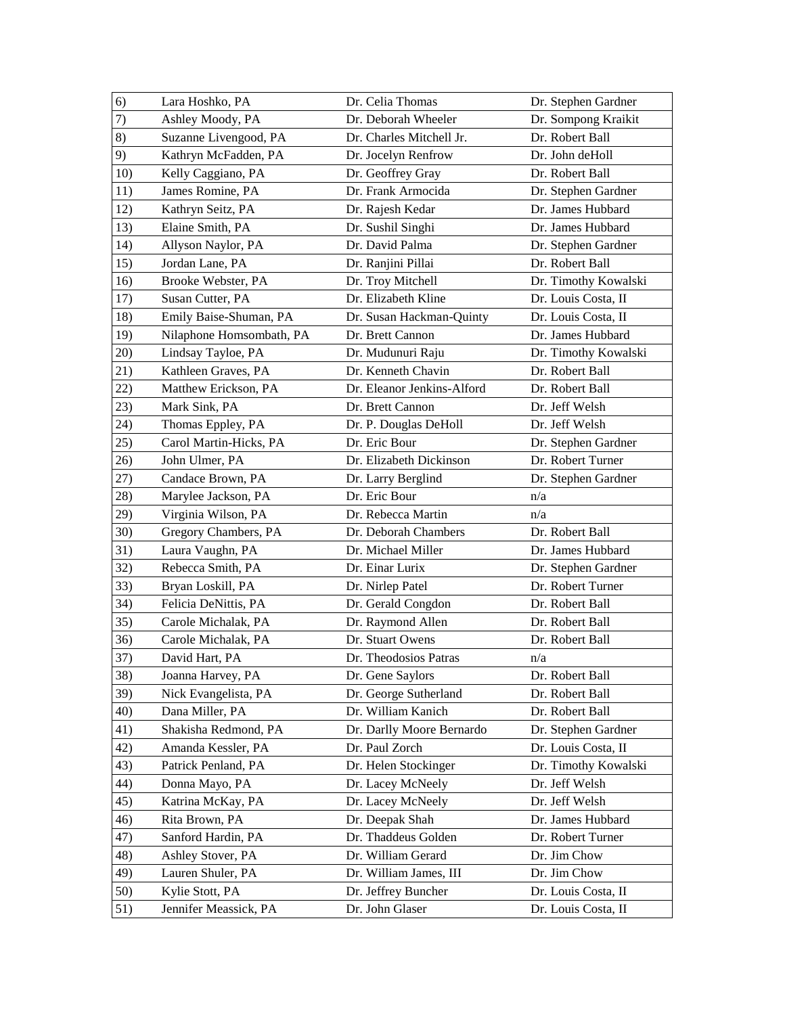| 6)  | Lara Hoshko, PA          | Dr. Celia Thomas           | Dr. Stephen Gardner  |
|-----|--------------------------|----------------------------|----------------------|
| 7)  | Ashley Moody, PA         | Dr. Deborah Wheeler        | Dr. Sompong Kraikit  |
| 8)  | Suzanne Livengood, PA    | Dr. Charles Mitchell Jr.   | Dr. Robert Ball      |
| 9)  | Kathryn McFadden, PA     | Dr. Jocelyn Renfrow        | Dr. John deHoll      |
| 10) | Kelly Caggiano, PA       | Dr. Geoffrey Gray          | Dr. Robert Ball      |
| 11) | James Romine, PA         | Dr. Frank Armocida         | Dr. Stephen Gardner  |
| 12) | Kathryn Seitz, PA        | Dr. Rajesh Kedar           | Dr. James Hubbard    |
| 13) | Elaine Smith, PA         | Dr. Sushil Singhi          | Dr. James Hubbard    |
| 14) | Allyson Naylor, PA       | Dr. David Palma            | Dr. Stephen Gardner  |
| 15) | Jordan Lane, PA          | Dr. Ranjini Pillai         | Dr. Robert Ball      |
| 16) | Brooke Webster, PA       | Dr. Troy Mitchell          | Dr. Timothy Kowalski |
| 17) | Susan Cutter, PA         | Dr. Elizabeth Kline        | Dr. Louis Costa, II  |
| 18) | Emily Baise-Shuman, PA   | Dr. Susan Hackman-Quinty   | Dr. Louis Costa, II  |
| 19) | Nilaphone Homsombath, PA | Dr. Brett Cannon           | Dr. James Hubbard    |
| 20) | Lindsay Tayloe, PA       | Dr. Mudunuri Raju          | Dr. Timothy Kowalski |
| 21) | Kathleen Graves, PA      | Dr. Kenneth Chavin         | Dr. Robert Ball      |
| 22) | Matthew Erickson, PA     | Dr. Eleanor Jenkins-Alford | Dr. Robert Ball      |
| 23) | Mark Sink, PA            | Dr. Brett Cannon           | Dr. Jeff Welsh       |
| 24) | Thomas Eppley, PA        | Dr. P. Douglas DeHoll      | Dr. Jeff Welsh       |
| 25) | Carol Martin-Hicks, PA   | Dr. Eric Bour              | Dr. Stephen Gardner  |
| 26) | John Ulmer, PA           | Dr. Elizabeth Dickinson    | Dr. Robert Turner    |
| 27) | Candace Brown, PA        | Dr. Larry Berglind         | Dr. Stephen Gardner  |
| 28) | Marylee Jackson, PA      | Dr. Eric Bour              | n/a                  |
| 29) | Virginia Wilson, PA      | Dr. Rebecca Martin         | n/a                  |
| 30) | Gregory Chambers, PA     | Dr. Deborah Chambers       | Dr. Robert Ball      |
| 31) | Laura Vaughn, PA         | Dr. Michael Miller         | Dr. James Hubbard    |
| 32) | Rebecca Smith, PA        | Dr. Einar Lurix            | Dr. Stephen Gardner  |
| 33) | Bryan Loskill, PA        | Dr. Nirlep Patel           | Dr. Robert Turner    |
| 34) | Felicia DeNittis, PA     | Dr. Gerald Congdon         | Dr. Robert Ball      |
| 35) | Carole Michalak, PA      | Dr. Raymond Allen          | Dr. Robert Ball      |
| 36) | Carole Michalak, PA      | Dr. Stuart Owens           | Dr. Robert Ball      |
| 37) | David Hart, PA           | Dr. Theodosios Patras      | n/a                  |
| 38) | Joanna Harvey, PA        | Dr. Gene Saylors           | Dr. Robert Ball      |
| 39) | Nick Evangelista, PA     | Dr. George Sutherland      | Dr. Robert Ball      |
| 40) | Dana Miller, PA          | Dr. William Kanich         | Dr. Robert Ball      |
| 41) | Shakisha Redmond, PA     | Dr. Darlly Moore Bernardo  | Dr. Stephen Gardner  |
| 42) |                          |                            |                      |
| 43) | Amanda Kessler, PA       | Dr. Paul Zorch             | Dr. Louis Costa, II  |
|     | Patrick Penland, PA      | Dr. Helen Stockinger       | Dr. Timothy Kowalski |
| 44) | Donna Mayo, PA           | Dr. Lacey McNeely          | Dr. Jeff Welsh       |
| 45) | Katrina McKay, PA        | Dr. Lacey McNeely          | Dr. Jeff Welsh       |
| 46) | Rita Brown, PA           | Dr. Deepak Shah            | Dr. James Hubbard    |
| 47) | Sanford Hardin, PA       | Dr. Thaddeus Golden        | Dr. Robert Turner    |
| 48) | Ashley Stover, PA        | Dr. William Gerard         | Dr. Jim Chow         |
| 49) | Lauren Shuler, PA        | Dr. William James, III     | Dr. Jim Chow         |
| 50) | Kylie Stott, PA          | Dr. Jeffrey Buncher        | Dr. Louis Costa, II  |